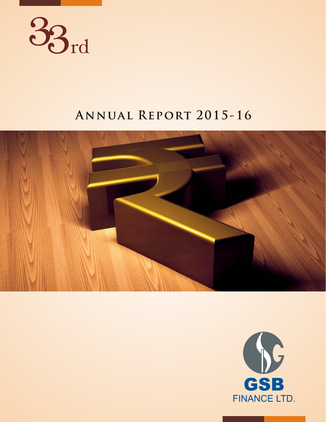

# ANNUAL REPORT 2015-16



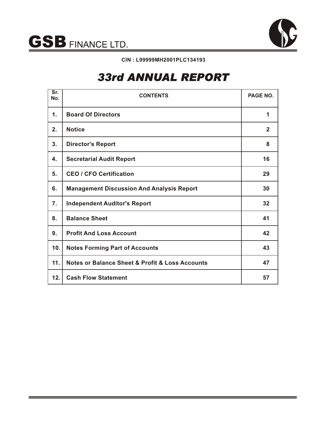

**CIN : L99999MH2001PLC134193**

# *33rd ANNUAL REPORT*

| $\overline{\text{Sr}}$<br>No. | <b>CONTENTS</b>                                                | PAGE NO.     |
|-------------------------------|----------------------------------------------------------------|--------------|
| $\mathbf 1$ .                 | <b>Board Of Directors</b>                                      | 1            |
| 2.                            | <b>Notice</b>                                                  | $\mathbf{2}$ |
| 3.                            | <b>Director's Report</b>                                       | 8            |
| 4.                            | <b>Secretarial Audit Report</b>                                | 16           |
| 5.                            | <b>CEO / CFO Certification</b>                                 | 29           |
| 6.                            | <b>Management Discussion And Analysis Report</b>               | 30           |
| 7.                            | <b>Independent Auditor's Report</b>                            | 32           |
| 8.                            | <b>Balance Sheet</b>                                           | 41           |
| 9.                            | <b>Profit And Loss Account</b>                                 | 42           |
| 10.                           | <b>Notes Forming Part of Accounts</b>                          | 43           |
| 11.                           | <b>Notes or Balance Sheet &amp; Profit &amp; Loss Accounts</b> | 47           |
| 12.                           | <b>Cash Flow Statement</b>                                     | 57           |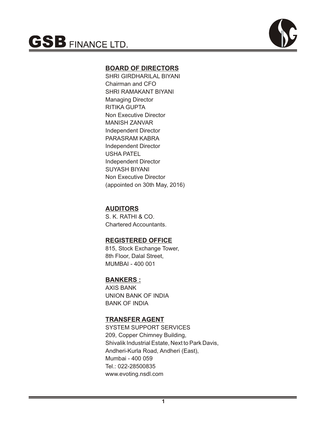

## **BOARD OF DIRECTORS**

SHRI GIRDHARILAL BIYANI Chairman and CFO SHRI RAMAKANT BIYANI Managing Director RITIKA GUPTA Non Executive Director MANISH ZANVAR Independent Director PARASRAM KABRA Independent Director USHA PATEL Independent Director SUYASH BIYANI Non Executive Director (appointed on 30th May, 2016)

## **AUDITORS**

S. K. RATHI & CO. Chartered Accountants.

## **REGISTERED OFFICE**

815, Stock Exchange Tower, 8th Floor, Dalal Street, MUMBAI - 400 001

## **BANKERS :**

AXIS BANK UNION BANK OF INDIA BANK OF INDIA

## **TRANSFER AGENT**

SYSTEM SUPPORT SERVICES 209, Copper Chimney Building, Shivalik Industrial Estate, Next to Park Davis, Andheri-Kurla Road, Andheri (East), Mumbai - 400 059 Tel.: 022-28500835 www.evoting.nsdl.com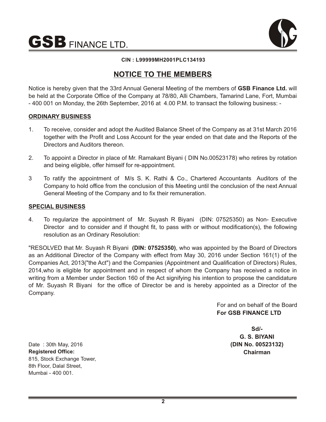

#### **CIN : L99999MH2001PLC134193**

## **NOTICE TO THE MEMBERS**

Notice is hereby given that the 33rd Annual General Meeting of the members of **GSB Finance Ltd.** will be held at the Corporate Office of the Company at 78/80, Alli Chambers, Tamarind Lane, Fort, Mumbai - 400 001 on Monday, the 26th September, 2016 at 4.00 P.M. to transact the following business: -

#### **ORDINARY BUSINESS**

- 1. To receive, consider and adopt the Audited Balance Sheet of the Company as at 31st March 2016 together with the Profit and Loss Account for the year ended on that date and the Reports of the Directors and Auditors thereon.
- 2. To appoint a Director in place of Mr. Ramakant Biyani ( DIN No.00523178) who retires by rotation and being eligible, offer himself for re-appointment.
- 3 To ratify the appointment of M/s S. K. Rathi & Co., Chartered Accountants Auditors of the Company to hold office from the conclusion of this Meeting until the conclusion of the next Annual General Meeting of the Company and to fix their remuneration.

#### **SPECIAL BUSINESS**

4. To regularize the appointment of Mr. Suyash R Biyani (DIN: 07525350) as Non- Executive Director and to consider and if thought fit, to pass with or without modification(s), the following resolution as an Ordinary Resolution:

"RESOLVED that Mr. Suyash R Biyani **(DIN: 07525350)**, who was appointed by the Board of Directors as an Additional Director of the Company with effect from May 30, 2016 under Section 161(1) of the Companies Act, 2013("the Act") and the Companies (Appointment and Qualification of Directors) Rules, 2014,who is eligible for appointment and in respect of whom the Company has received a notice in writing from a Member under Section 160 of the Act signifying his intention to propose the candidature of Mr. Suyash R Biyani for the office of Director be and is hereby appointed as a Director of the Company.

> For and on behalf of the Board **For GSB FINANCE LTD**

> > **Sd/- G. S. BIYANI (DIN No. 00523132) Chairman**

Date : 30th May, 2016 **Registered Office:** 815, Stock Exchange Tower, 8th Floor, Dalal Street, Mumbai - 400 001.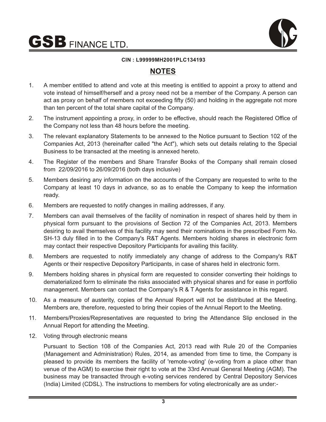$\mathbf{GSB}$  finance ltd.



#### **CIN : L99999MH2001PLC134193**

## **NOTES**

- 1. A member entitled to attend and vote at this meeting is entitled to appoint a proxy to attend and vote instead of himself/herself and a proxy need not be a member of the Company. A person can act as proxy on behalf of members not exceeding fifty (50) and holding in the aggregate not more than ten percent of the total share capital of the Company.
- 2. The instrument appointing a proxy, in order to be effective, should reach the Registered Office of the Company not less than 48 hours before the meeting.
- 3. The relevant explanatory Statements to be annexed to the Notice pursuant to Section 102 of the Companies Act, 2013 (hereinafter called "the Act"), which sets out details relating to the Special Business to be transacted at the meeting is annexed hereto.
- 4. The Register of the members and Share Transfer Books of the Company shall remain closed from 22/09/2016 to 26/09/2016 (both days inclusive)
- 5. Members desiring any information on the accounts of the Company are requested to write to the Company at least 10 days in advance, so as to enable the Company to keep the information ready.
- 6. Members are requested to notify changes in mailing addresses, if any.
- 7. Members can avail themselves of the facility of nomination in respect of shares held by them in physical form pursuant to the provisions of Section 72 of the Companies Act, 2013. Members desiring to avail themselves of this facility may send their nominations in the prescribed Form No. SH-13 duly filled in to the Company's R&T Agents. Members holding shares in electronic form may contact their respective Depository Participants for availing this facility.
- 8. Members are requested to notify immediately any change of address to the Company's R&T Agents or their respective Depository Participants, in case of shares held in electronic form.
- 9. Members holding shares in physical form are requested to consider converting their holdings to dematerialized form to eliminate the risks associated with physical shares and for ease in portfolio management. Members can contact the Company's R & T Agents for assistance in this regard.
- 10. As a measure of austerity, copies of the Annual Report will not be distributed at the Meeting. Members are, therefore, requested to bring their copies of the Annual Report to the Meeting.
- 11. Members/Proxies/Representatives are requested to bring the Attendance Slip enclosed in the Annual Report for attending the Meeting.
- 12. Voting through electronic means

Pursuant to Section 108 of the Companies Act, 2013 read with Rule 20 of the Companies (Management and Administration) Rules, 2014, as amended from time to time, the Company is pleased to provide its members the facility of 'remote-voting' (e-voting from a place other than venue of the AGM) to exercise their right to vote at the 33rd Annual General Meeting (AGM). The business may be transacted through e-voting services rendered by Central Depository Services (India) Limited (CDSL). The instructions to members for voting electronically are as under:-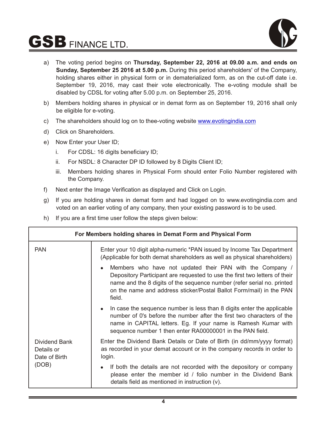# $\mathbf{GSB}$  finance ltd.



- a) The voting period begins on **Thursday, September 22, 2016 at 09.00 a.m. and ends on Sunday, September 25 2016 at 5.00 p.m.** During this period shareholders' of the Company, holding shares either in physical form or in dematerialized form, as on the cut-off date i.e. September 19, 2016, may cast their vote electronically. The e-voting module shall be disabled by CDSL for voting after 5.00 p.m. on September 25, 2016.
- b) Members holding shares in physical or in demat form as on September 19, 2016 shall only be eligible for e-voting.
- c) The shareholders should log on to thee-voting website **[www.evotingindia.com](http://www.evotingindia.com)**
- d) Click on Shareholders.
- e) Now Enter your User ID;
	- i. For CDSL: 16 digits beneficiary ID;
	- ii. For NSDL: 8 Character DP ID followed by 8 Digits Client ID;
	- iii. Members holding shares in Physical Form should enter Folio Number registered with the Company.
- f) Next enter the Image Verification as displayed and Click on Login.
- g) If you are holding shares in demat form and had logged on to www.evotingindia.com and voted on an earlier voting of any company, then your existing password is to be used.
- h) If you are a first time user follow the steps given below:

| For Members holding shares in Demat Form and Physical Form |                                                                                                                                                                                                                                                                                                    |  |  |  |  |  |  |  |  |  |  |
|------------------------------------------------------------|----------------------------------------------------------------------------------------------------------------------------------------------------------------------------------------------------------------------------------------------------------------------------------------------------|--|--|--|--|--|--|--|--|--|--|
| <b>PAN</b>                                                 | Enter your 10 digit alpha-numeric *PAN issued by Income Tax Department<br>(Applicable for both demat shareholders as well as physical shareholders)                                                                                                                                                |  |  |  |  |  |  |  |  |  |  |
|                                                            | Members who have not updated their PAN with the Company /<br>Depository Participant are requested to use the first two letters of their<br>name and the 8 digits of the sequence number (refer serial no. printed<br>on the name and address sticker/Postal Ballot Form/mail) in the PAN<br>field. |  |  |  |  |  |  |  |  |  |  |
|                                                            | In case the sequence number is less than 8 digits enter the applicable<br>number of 0's before the number after the first two characters of the<br>name in CAPITAL letters. Eg. If your name is Ramesh Kumar with<br>sequence number 1 then enter RA00000001 in the PAN field.                     |  |  |  |  |  |  |  |  |  |  |
| Dividend Bank<br>Details or<br>Date of Birth               | Enter the Dividend Bank Details or Date of Birth (in dd/mm/yyyy format)<br>as recorded in your demat account or in the company records in order to<br>login.                                                                                                                                       |  |  |  |  |  |  |  |  |  |  |
| (DOB)                                                      | If both the details are not recorded with the depository or company<br>$\bullet$<br>please enter the member id / folio number in the Dividend Bank<br>details field as mentioned in instruction (v).                                                                                               |  |  |  |  |  |  |  |  |  |  |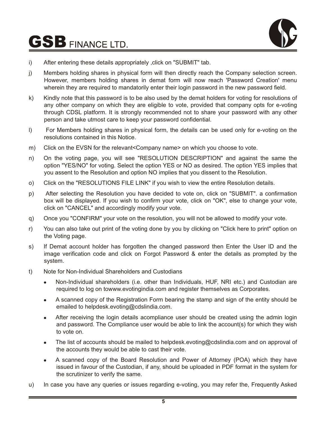

- i) After entering these details appropriately, click on "SUBMIT" tab.
- j) Members holding shares in physical form will then directly reach the Company selection screen. However, members holding shares in demat form will now reach 'Password Creation' menu wherein they are required to mandatorily enter their login password in the new password field.
- k) Kindly note that this password is to be also used by the demat holders for voting for resolutions of any other company on which they are eligible to vote, provided that company opts for e-voting through CDSL platform. It is strongly recommended not to share your password with any other person and take utmost care to keep your password confidential.
- l) For Members holding shares in physical form, the details can be used only for e-voting on the resolutions contained in this Notice.
- m) Click on the EVSN for the relevant<Company name> on which you choose to vote.
- n) On the voting page, you will see "RESOLUTION DESCRIPTION" and against the same the option "YES/NO" for voting. Select the option YES or NO as desired. The option YES implies that you assent to the Resolution and option NO implies that you dissent to the Resolution.
- o) Click on the "RESOLUTIONS FILE LINK" if you wish to view the entire Resolution details.
- p) After selecting the Resolution you have decided to vote on, click on "SUBMIT". a confirmation box will be displayed. If you wish to confirm your vote, click on "OK", else to change your vote, click on "CANCEL" and accordingly modify your vote.
- q) Once you "CONFIRM" your vote on the resolution, you will not be allowed to modify your vote.
- r) You can also take out print of the voting done by you by clicking on "Click here to print" option on the Voting page.
- s) If Demat account holder has forgotten the changed password then Enter the User ID and the image verification code and click on Forgot Password & enter the details as prompted by the system.
- t) Note for Non-Individual Shareholders and Custodians
	- <sup>l</sup>Non-Individual shareholders (i.e. other than Individuals, HUF, NRI etc.) and Custodian are required to log on towww.evotingindia.com and register themselves as Corporates.
	- <sup>l</sup>A scanned copy of the Registration Form bearing the stamp and sign of the entity should be emailed to helpdesk.evoting@cdslindia.com.
	- After receiving the login details acompliance user should be created using the admin login and password. The Compliance user would be able to link the account(s) for which they wish to vote on.
	- <sup>l</sup>The list of accounts should be mailed to helpdesk.evoting@cdslindia.com and on approval of the accounts they would be able to cast their vote.
	- A scanned copy of the Board Resolution and Power of Attorney (POA) which they have issued in favour of the Custodian, if any, should be uploaded in PDF format in the system for the scrutinizer to verify the same.
- u) In case you have any queries or issues regarding e-voting, you may refer the, Frequently Asked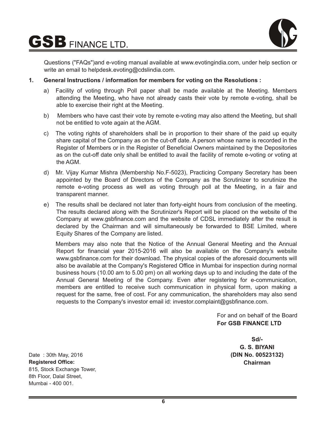



Questions ("FAQs")and e-voting manual available at www.evotingindia.com, under help section or write an email to helpdesk.evoting@cdslindia.com.

#### **1. General Instructions / information for members for voting on the Resolutions :**

- a) Facility of voting through Poll paper shall be made available at the Meeting. Members attending the Meeting, who have not already casts their vote by remote e-voting, shall be able to exercise their right at the Meeting.
- b) Members who have cast their vote by remote e-voting may also attend the Meeting, but shall not be entitled to vote again at the AGM.
- c) The voting rights of shareholders shall be in proportion to their share of the paid up equity share capital of the Company as on the cut-off date. A person whose name is recorded in the Register of Members or in the Register of Beneficial Owners maintained by the Depositories as on the cut-off date only shall be entitled to avail the facility of remote e-voting or voting at the AGM.
- d) Mr. Vijay Kumar Mishra (Membership No.F-5023), Practicing Company Secretary has been appointed by the Board of Directors of the Company as the Scrutinizer to scrutinize the remote e-voting process as well as voting through poll at the Meeting, in a fair and transparent manner.
- e) The results shall be declared not later than forty-eight hours from conclusion of the meeting. The results declared along with the Scrutinizer's Report will be placed on the website of the Company at www.gsbfinance.com and the website of CDSL immediately after the result is declared by the Chairman and will simultaneously be forwarded to BSE Limited, where Equity Shares of the Company are listed.

Members may also note that the Notice of the Annual General Meeting and the Annual Report for financial year 2015-2016 will also be available on the Company's website www.gsbfinance.com for their download. The physical copies of the aforesaid documents will also be available at the Company's Registered Office in Mumbai for inspection during normal business hours (10.00 am to 5.00 pm) on all working days up to and including the date of the Annual General Meeting of the Company. Even after registering for e-communication, members are entitled to receive such communication in physical form, upon making a request for the same, free of cost. For any communication, the shareholders may also send requests to the Company's investor email id: investor.complaint@gsbfinance.com.

> For and on behalf of the Board **For GSB FINANCE LTD**

> > **Sd/- G. S. BIYANI (DIN No. 00523132) Chairman**

Date : 30th May, 2016 **Registered Office:** 815, Stock Exchange Tower, 8th Floor, Dalal Street, Mumbai - 400 001.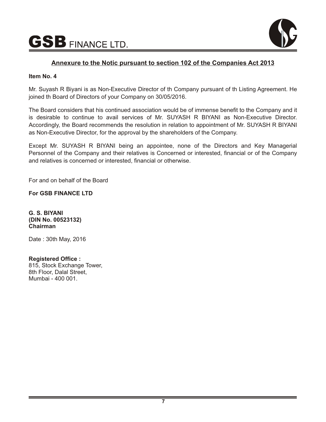

#### **Annexure to the Notic pursuant to section 102 of the Companies Act 2013**

#### **Item No. 4**

Mr. Suyash R Biyani is as Non-Executive Director of th Company pursuant of th Listing Agreement. He joined th Board of Directors of your Company on 30/05/2016.

The Board considers that his continued association would be of immense benefit to the Company and it is desirable to continue to avail services of Mr. SUYASH R BIYANI as Non-Executive Director. Accordingly, the Board recommends the resolution in relation to appointment of Mr. SUYASH R BIYANI as Non-Executive Director, for the approval by the shareholders of the Company.

Except Mr. SUYASH R BIYANI being an appointee, none of the Directors and Key Managerial Personnel of the Company and their relatives is Concerned or interested, financial or of the Company and relatives is concerned or interested, financial or otherwise.

For and on behalf of the Board

**For GSB FINANCE LTD**

**G. S. BIYANI (DIN No. 00523132) Chairman**

Date : 30th May, 2016

**Registered Office :** 815, Stock Exchange Tower, 8th Floor, Dalal Street, Mumbai - 400 001.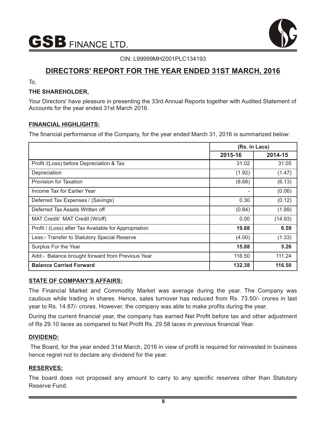

CIN: L99999MH2001PLC134193

## **DIRECTORS' REPORT FOR THE YEAR ENDED 31ST MARCH, 2016**

To,

#### **THE SHAREHOLDER,**

Your Directors' have pleasure in presenting the 33rd Annual Reports together with Audited Statement of Accounts for the year ended 31st March 2016.

#### **FINANCIAL HIGHLIGHTS:**

The financial performance of the Company, for the year ended March 31, 2016 is summarized below:

|                                                       |         | (Rs. in Lacs) |
|-------------------------------------------------------|---------|---------------|
|                                                       | 2015-16 | 2014-15       |
| Profit /(Loss) before Depreciation & Tax              | 31.02   | 31.05         |
| Depreciation                                          | (1.92)  | (1.47)        |
| <b>Provision for Taxation</b>                         | (8.68)  | (6.13)        |
| Income Tax for Earlier Year                           | ٠       | (0.06)        |
| Deferred Tax Expenses / (Savings)                     | 0.30    | (0.12)        |
| Deferred Tax Assets Written off                       | (0.84)  | (1.99)        |
| MAT Credit/ MAT Credit (W/off)                        | 0.00    | (14.93)       |
| Profit / (Loss) after Tax Available for Appropriation | 19.88   | 6.59          |
| Less:- Transfer to Statutory Special Reserve          | (4.00)  | (1.33)        |
| Surplus For the Year                                  | 15.88   | 5.26          |
| Add:- Balance brought forward from Previous Year      | 116.50  | 111.24        |
| <b>Balance Carried Forward</b>                        | 132.38  | 116.50        |

#### **STATE OF COMPANY'S AFFAIRS:**

The Financial Market and Commodity Market was average during the year. The Company was cautious while trading in shares. Hence, sales turnover has reduced from Rs. 73.50/- crores in last year to Rs. 14.87/- crores. However, the company was able to make profits during the year.

During the current financial year, the company has earned Net Profit before tax and other adjustment of Rs 29.10 laces as compared to Net Profit Rs. 29.58 laces in previous financial Year.

#### **DIVIDEND:**

The Board, for the year ended 31st March, 2016 in view of profit is required for reinvested in business hence regret not to declare any dividend for the year.

#### **RESERVES:**

The board does not proposed any amount to carry to any specific reserves other than Statutory Reserve Fund.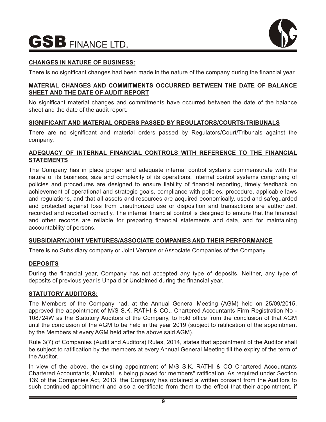

#### **CHANGES IN NATURE OF BUSINESS:**

There is no significant changes had been made in the nature of the company during the financial year.

#### **MATERIAL CHANGES AND COMMITMENTS OCCURRED BETWEEN THE DATE OF BALANCE SHEET AND THE DATE OF AUDIT REPORT**

No significant material changes and commitments have occurred between the date of the balance sheet and the date of the audit report.

#### **SIGNIFICANT AND MATERIAL ORDERS PASSED BY REGULATORS/COURTS/TRIBUNALS**

There are no significant and material orders passed by Regulators/Court/Tribunals against the company.

#### **ADEQUACY OF INTERNAL FINANCIAL CONTROLS WITH REFERENCE TO THE FINANCIAL STATEMENTS**

The Company has in place proper and adequate internal control systems commensurate with the nature of its business, size and complexity of its operations. Internal control systems comprising of policies and procedures are designed to ensure liability of financial reporting, timely feedback on achievement of operational and strategic goals, compliance with policies, procedure, applicable laws and regulations, and that all assets and resources are acquired economically, used and safeguarded and protected against loss from unauthorized use or disposition and transactions are authorized, recorded and reported correctly. The internal financial control is designed to ensure that the financial and other records are reliable for preparing financial statements and data, and for maintaining accountability of persons.

#### **SUBSIDIARY/JOINT VENTURES/ASSOCIATE COMPANIES AND THEIR PERFORMANCE**

There is no Subsidiary company or Joint Venture or Associate Companies of the Company.

#### **DEPOSITS**

During the financial year, Company has not accepted any type of deposits. Neither, any type of deposits of previous year is Unpaid or Unclaimed during the financial year.

#### **STATUTORY AUDITORS:**

The Members of the Company had, at the Annual General Meeting (AGM) held on 25/09/2015, approved the appointment of M/S S.K. RATHI & CO., Chartered Accountants Firm Registration No - 108724W as the Statutory Auditors of the Company, to hold office from the conclusion of that AGM until the conclusion of the AGM to be held in the year 2019 (subject to ratification of the appointment by the Members at every AGM held after the above said AGM).

Rule 3(7) of Companies (Audit and Auditors) Rules, 2014, states that appointment of the Auditor shall be subject to ratification by the members at every Annual General Meeting till the expiry of the term of the Auditor.

In view of the above, the existing appointment of M/S S.K. RATHI & CO Chartered Accountants Chartered Accountants, Mumbai, is being placed for members'' ratification. As required under Section 139 of the Companies Act, 2013, the Company has obtained a written consent from the Auditors to such continued appointment and also a certificate from them to the effect that their appointment, if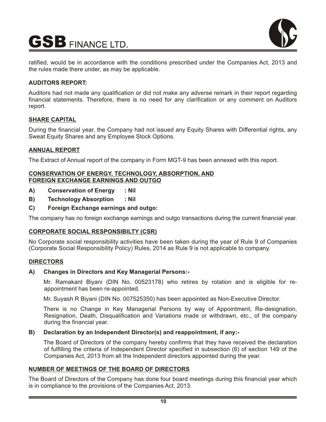



ratified, would be in accordance with the conditions prescribed under the Companies Act, 2013 and the rules made there under, as may be applicable.

#### **AUDITORS REPORT:**

Auditors had not made any qualification or did not make any adverse remark in their report regarding financial statements. Therefore, there is no need for any clarification or any comment on Auditors report.

#### **SHARE CAPITAL**

During the financial year, the Company had not issued any Equity Shares with Differential rights, any Sweat Equity Shares and any Employee Stock Options.

#### **ANNUAL REPORT**

The Extract of Annual report of the company in Form MGT-9 has been annexed with this report.

#### **CONSERVATION OF ENERGY, TECHNOLOGY, ABSORPTION, AND FOREIGN EXCHANGE EARNINGS AND OUTGO**

- **A) Conservation of Energy : Nil**
- **B) Technology Absorption : Nil**
- **C) Foreign Exchange earnings and outgo:**

The company has no foreign exchange earnings and outgo transactions during the current financial year.

#### **CORPORATE SOCIAL RESPONSIBILTY (CSR)**

No Corporate social responsibility activities have been taken during the year of Rule 9 of Companies (Corporate Social Responsibility Policy) Rules, 2014 as Rule 9 is not applicable to company.

#### **DIRECTORS**

#### **A) Changes in Directors and Key Managerial Persons:-**

Mr. Ramakant Biyani (DIN No. 00523178) who retires by rotation and is eligible for reappointment has been re-appointed.

Mr. Suyash R Biyani (DIN No. 007525350) has been appointed as Non-Executive Director.

There is no Change in Key Managerial Persons by way of Appointment, Re-designation, Resignation, Death, Disqualification and Variations made or withdrawn, etc., of the company during the financial year.

#### **B) Declaration by an Independent Director(s) and reappointment, if any:-**

The Board of Directors of the company hereby confirms that they have received the declaration of fulfilling the criteria of Independent Director specified in subsection (6) of section 149 of the Companies Act, 2013 from all the Independent directors appointed during the year.

#### **NUMBER OF MEETINGS OF THE BOARD OF DIRECTORS**

The Board of Directors of the Company has done four board meetings during this financial year which is in compliance to the provisions of the Companies Act, 2013.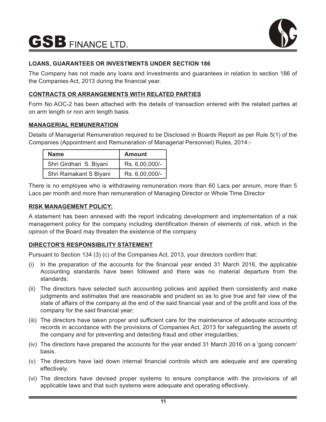

#### **LOANS, GUARANTEES OR INVESTMENTS UNDER SECTION 186**

The Company has not made any loans and Investments and guarantees in relation to section 186 of the Companies Act, 2013 during the financial year.

#### **CONTRACTS OR ARRANGEMENTS WITH RELATED PARTIES**

Form No AOC-2 has been attached with the details of transaction entered with the related parties at on arm length or non arm length basis.

#### **MANAGERIAL REMUNERATION**

Details of Managerial Remuneration required to be Disclosed in Boards Report as per Rule 5(1) of the Companies (Appointment and Remuneration of Managerial Personnel) Rules, 2014:-

| <b>Name</b>             | <b>Amount</b>  |
|-------------------------|----------------|
| Shri Girdhari S. Biyani | Rs. 6,00,000/- |
| Shri Ramakant S Biyani  | Rs. 6,00,000/- |

There is no employee who is withdrawing remuneration more than 60 Lacs per annum, more than 5 Lacs per month and more than remuneration of Managing Director or Whole Time Director

#### **RISK MANAGEMENT POLICY:**

A statement has been annexed with the report indicating development and implementation of a risk management policy for the company including identification therein of elements of risk, which in the opinion of the Board may threaten the existence of the company

#### **DIRECTOR'S RESPONSIBILITY STATEMENT**

Pursuant to Section 134 (3) (c) of the Companies Act, 2013, your directors confirm that:

- (i) In the preparation of the accounts for the financial year ended 31 March 2016, the applicable Accounting standards have been followed and there was no material departure from the standards;
- (ii) The directors have selected such accounting policies and applied them consistently and make judgments and estimates that are reasonable and prudent so as to give true and fair view of the state of affairs of the company at the end of the said financial year and of the profit and loss of the company for the said financial year;
- (iii) The directors have taken proper and sufficient care for the maintenance of adequate accounting records in accordance with the provisions of Companies Act, 2013 for safeguarding the assets of the company and for preventing and detecting fraud and other irregularities;
- (iv) The directors have prepared the accounts for the year ended 31 March 2016 on a 'going concern' basis.
- (v) The directors have laid down internal financial controls which are adequate and are operating effectively.
- (vi) The directors have devised proper systems to ensure compliance with the provisions of all applicable laws and that such systems were adequate and operating effectively.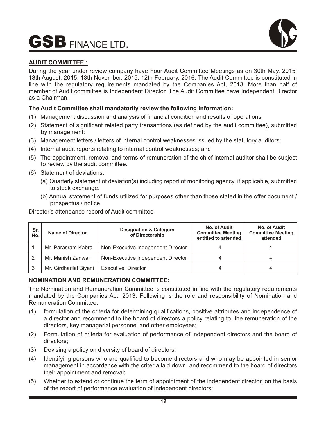

#### **AUDIT COMMITTEE :**

During the year under review company have Four Audit Committee Meetings as on 30th May, 2015; 13th August, 2015; 13th November, 2015; 12th February, 2016. The Audit Committee is constituted in line with the regulatory requirements mandated by the Companies Act, 2013. More than half of member of Audit committee is Independent Director. The Audit Committee have Independent Director as a Chairman.

#### **The Audit Committee shall mandatorily review the following information:**

- (1) Management discussion and analysis of financial condition and results of operations;
- (2) Statement of significant related party transactions (as defined by the audit committee), submitted by management;
- (3) Management letters / letters of internal control weaknesses issued by the statutory auditors;
- (4) Internal audit reports relating to internal control weaknesses; and
- (5) The appointment, removal and terms of remuneration of the chief internal auditor shall be subject to review by the audit committee.
- (6) Statement of deviations:
	- (a) Quarterly statement of deviation(s) including report of monitoring agency, if applicable, submitted to stock exchange.
	- (b) Annual statement of funds utilized for purposes other than those stated in the offer document / prospectus / notice.

Director's attendance record of Audit committee

| Sr.<br>No. | <b>Name of Director</b> | <b>Designation &amp; Category</b><br>of Directorship | No. of Audit<br><b>Committee Meeting</b><br>entitled to attended | No. of Audit<br><b>Committee Meeting</b><br>attended |
|------------|-------------------------|------------------------------------------------------|------------------------------------------------------------------|------------------------------------------------------|
|            | Mr. Parasram Kabra      | Non-Executive Independent Director                   |                                                                  |                                                      |
|            | Mr. Manish Zanwar       | Non-Executive Independent Director                   |                                                                  |                                                      |
|            | Mr. Girdharilal Biyani  | <b>Executive Director</b>                            |                                                                  |                                                      |

#### **NOMINATION AND REMUNERATION COMMITTEE:**

The Nomination and Remuneration Committee is constituted in line with the regulatory requirements mandated by the Companies Act, 2013. Following is the role and responsibility of Nomination and Remuneration Committee.

- (1) formulation of the criteria for determining qualifications, positive attributes and independence of a director and recommend to the board of directors a policy relating to, the remuneration of the directors, key managerial personnel and other employees;
- (2) Formulation of criteria for evaluation of performance of independent directors and the board of directors;
- (3) Devising a policy on diversity of board of directors;
- (4) Identifying persons who are qualified to become directors and who may be appointed in senior management in accordance with the criteria laid down, and recommend to the board of directors their appointment and removal;
- (5) Whether to extend or continue the term of appointment of the independent director, on the basis of the report of performance evaluation of independent directors;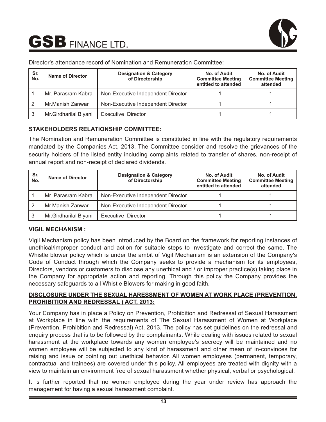| Sr.<br>No. | <b>Name of Director</b> | <b>Designation &amp; Category</b><br>of Directorship | No. of Audit<br><b>Committee Meeting</b><br>entitled to attended | No. of Audit<br><b>Committee Meeting</b><br>attended |
|------------|-------------------------|------------------------------------------------------|------------------------------------------------------------------|------------------------------------------------------|
|            | Mr. Parasram Kabra      | Non-Executive Independent Director                   |                                                                  |                                                      |
|            | Mr.Manish Zanwar        | Non-Executive Independent Director                   |                                                                  |                                                      |
| 3          | Mr.Girdharilal Biyani   | Executive Director                                   |                                                                  |                                                      |

Director's attendance record of Nomination and Remuneration Committee:

#### **STAKEHOLDERS RELATIONSHIP COMMITTEE:**

The Nomination and Remuneration Committee is constituted in line with the regulatory requirements mandated by the Companies Act, 2013. The Committee consider and resolve the grievances of the security holders of the listed entity including complaints related to transfer of shares, non-receipt of annual report and non-receipt of declared dividends.

| Sr.<br>No. | <b>Name of Director</b> | <b>Designation &amp; Category</b><br>of Directorship | No. of Audit<br><b>Committee Meeting</b><br>entitled to attended | No. of Audit<br><b>Committee Meeting</b><br>attended |
|------------|-------------------------|------------------------------------------------------|------------------------------------------------------------------|------------------------------------------------------|
|            | Mr. Parasram Kabra      | Non-Executive Independent Director                   |                                                                  |                                                      |
|            | Mr.Manish Zanwar        | Non-Executive Independent Director                   |                                                                  |                                                      |
|            | Mr.Girdharilal Biyani   | Executive Director                                   |                                                                  |                                                      |

#### **VIGIL MECHANISM :**

Vigil Mechanism policy has been introduced by the Board on the framework for reporting instances of unethical/improper conduct and action for suitable steps to investigate and correct the same. The Whistle blower policy which is under the ambit of Vigil Mechanism is an extension of the Company's Code of Conduct through which the Company seeks to provide a mechanism for its employees, Directors, vendors or customers to disclose any unethical and / or improper practice(s) taking place in the Company for appropriate action and reporting. Through this policy the Company provides the necessary safeguards to all Whistle Blowers for making in good faith.

#### **DISCLOSURE UNDER THE SEXUAL HARESSMENT OF WOMEN AT WORK PLACE (PREVENTION, PROHIBITION AND REDRESSAL ) ACT, 2013:**

Your Company has in place a Policy on Prevention, Prohibition and Redressal of Sexual Harassment at Workplace in line with the requirements of The Sexual Harassment of Women at Workplace (Prevention, Prohibition and Redressal) Act, 2013. The policy has set guidelines on the redressal and enquiry process that is to be followed by the complainants. While dealing with issues related to sexual harassment at the workplace towards any women employee's secrecy will be maintained and no women employee will be subjected to any kind of harassment and other mean of in-convinces for raising and issue or pointing out unethical behavior. All women employees (permanent, temporary, contractual and trainees) are covered under this policy. All employees are treated with dignity with a view to maintain an environment free of sexual harassment whether physical, verbal or psychological.

It is further reported that no women employee during the year under review has approach the management for having a sexual harassment complaint.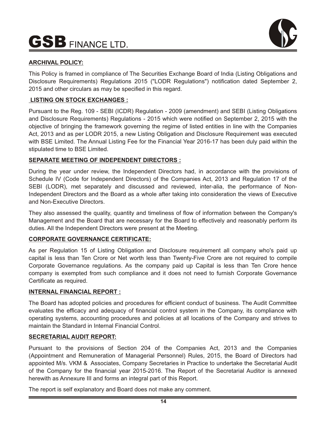

#### **ARCHIVAL POLICY:**

This Policy is framed in compliance of The Securities Exchange Board of India (Listing Obligations and Disclosure Requirements) Regulations 2015 ("LODR Regulations") notification dated September 2, 2015 and other circulars as may be specified in this regard.

#### **LISTING ON STOCK EXCHANGES :**

Pursuant to the Reg. 109 - SEBI (ICDR) Regulation - 2009 (amendment) and SEBI (Listing Obligations and Disclosure Requirements) Regulations - 2015 which were notified on September 2, 2015 with the objective of bringing the framework governing the regime of listed entities in line with the Companies Act, 2013 and as per LODR 2015, a new Listing Obligation and Disclosure Requirement was executed with BSE Limited. The Annual Listing Fee for the Financial Year 2016-17 has been duly paid within the stipulated time to BSE Limited.

#### **SEPARATE MEETING OF INDEPENDENT DIRECTORS :**

During the year under review, the Independent Directors had, in accordance with the provisions of Schedule IV (Code for Independent Directors) of the Companies Act, 2013 and Regulation 17 of the SEBI (LODR), met separately and discussed and reviewed, inter-alia, the performance of Non-Independent Directors and the Board as a whole after taking into consideration the views of Executive and Non-Executive Directors.

They also assessed the quality, quantity and timeliness of flow of information between the Company's Management and the Board that are necessary for the Board to effectively and reasonably perform its duties. All the Independent Directors were present at the Meeting.

#### **CORPORATE GOVERNANCE CERTIFICATE:**

As per Regulation 15 of Listing Obligation and Disclosure requirement all company who's paid up capital is less than Ten Crore or Net worth less than Twenty-Five Crore are not required to compile Corporate Governance regulations. As the company paid up Capital is less than Ten Crore hence company is exempted from such compliance and it does not need to furnish Corporate Governance Certificate as required.

#### **INTERNAL FINANCIAL REPORT :**

The Board has adopted policies and procedures for efficient conduct of business. The Audit Committee evaluates the efficacy and adequacy of financial control system in the Company, its compliance with operating systems, accounting procedures and policies at all locations of the Company and strives to maintain the Standard in Internal Financial Control.

#### **SECRETARIAL AUDIT REPORT:**

Pursuant to the provisions of Section 204 of the Companies Act, 2013 and the Companies (Appointment and Remuneration of Managerial Personnel) Rules, 2015, the Board of Directors had appointed M/s. VKM & Associates, Company Secretaries in Practice to undertake the Secretarial Audit of the Company for the financial year 2015-2016. The Report of the Secretarial Auditor is annexed herewith as Annexure III and forms an integral part of this Report.

The report is self explanatory and Board does not make any comment.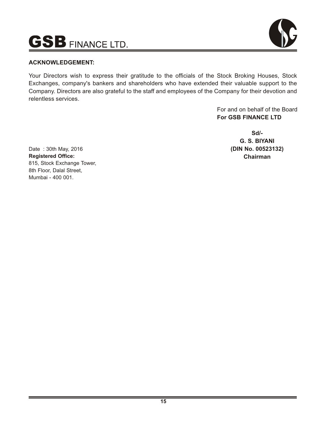

#### **ACKNOWLEDGEMENT:**

Your Directors wish to express their gratitude to the officials of the Stock Broking Houses, Stock Exchanges, company's bankers and shareholders who have extended their valuable support to the Company. Directors are also grateful to the staff and employees of the Company for their devotion and relentless services.

> For and on behalf of the Board **For GSB FINANCE LTD**

> > **Sd/- G. S. BIYANI (DIN No. 00523132) Chairman**

Date : 30th May, 2016 **Registered Office:** 815, Stock Exchange Tower, 8th Floor, Dalal Street, Mumbai - 400 001.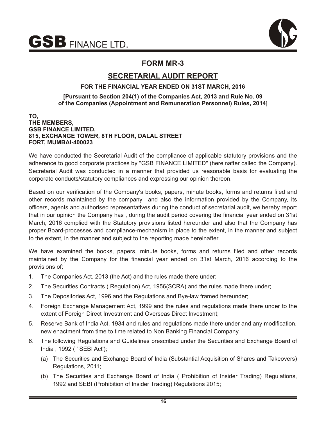

# **FORM MR-3**

# **SECRETARIAL AUDIT REPORT**

#### **FOR THE FINANCIAL YEAR ENDED ON 31ST MARCH, 2016**

#### **[Pursuant to Section 204(1) of the Companies Act, 2013 and Rule No. 09 of the Companies (Appointment and Remuneration Personnel) Rules, 2014**]

#### **TO, THE MEMBERS, GSB FINANCE LIMITED, 815, EXCHANGE TOWER, 8TH FLOOR, DALAL STREET FORT, MUMBAI-400023**

We have conducted the Secretarial Audit of the compliance of applicable statutory provisions and the adherence to good corporate practices by "GSB FINANCE LIMITED" (hereinafter called the Company). Secretarial Audit was conducted in a manner that provided us reasonable basis for evaluating the corporate conducts/statutory compliances and expressing our opinion thereon.

Based on our verification of the Company's books, papers, minute books, forms and returns filed and other records maintained by the company and also the information provided by the Company, its officers, agents and authorised representatives during the conduct of secretarial audit, we hereby report that in our opinion the Company has , during the audit period covering the financial year ended on 31st March, 2016 complied with the Statutory provisions listed hereunder and also that the Company has proper Board-processes and compliance-mechanism in place to the extent, in the manner and subject to the extent, in the manner and subject to the reporting made hereinafter.

We have examined the books, papers, minute books, forms and returns filed and other records maintained by the Company for the financial year ended on 31st March, 2016 according to the provisions of;

- 1. The Companies Act, 2013 (the Act) and the rules made there under;
- 2. The Securities Contracts ( Regulation) Act, 1956(SCRA) and the rules made there under;
- 3. The Depositories Act, 1996 and the Regulations and Bye-law framed hereunder;
- 4. Foreign Exchange Management Act, 1999 and the rules and regulations made there under to the extent of Foreign Direct Investment and Overseas Direct Investment;
- 5. Reserve Bank of India Act, 1934 and rules and regulations made there under and any modification, new enactment from time to time related to Non Banking Financial Company.
- 6. The following Regulations and Guidelines prescribed under the Securities and Exchange Board of India , 1992 ( ' SEBI Act');
	- (a) The Securities and Exchange Board of India (Substantial Acquisition of Shares and Takeovers) Regulations, 2011;
	- (b) The Securities and Exchange Board of India ( Prohibition of Insider Trading) Regulations, 1992 and SEBI (Prohibition of Insider Trading) Regulations 2015;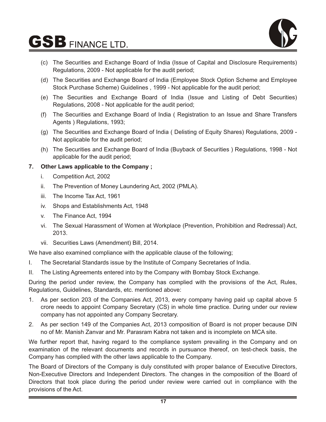# $\mathbf{GSB}$  FINANCE LTD.



- (c) The Securities and Exchange Board of India (Issue of Capital and Disclosure Requirements) Regulations, 2009 - Not applicable for the audit period;
- (d) The Securities and Exchange Board of India (Employee Stock Option Scheme and Employee Stock Purchase Scheme) Guidelines , 1999 - Not applicable for the audit period;
- (e) The Securities and Exchange Board of India (Issue and Listing of Debt Securities) Regulations, 2008 - Not applicable for the audit period;
- (f) The Securities and Exchange Board of India ( Registration to an Issue and Share Transfers Agents ) Regulations, 1993;
- (g) The Securities and Exchange Board of India ( Delisting of Equity Shares) Regulations, 2009 Not applicable for the audit period;
- (h) The Securities and Exchange Board of India (Buyback of Securities ) Regulations, 1998 Not applicable for the audit period;

#### **7. Other Laws applicable to the Company ;**

- i. Competition Act, 2002
- ii. The Prevention of Money Laundering Act, 2002 (PMLA).
- iii. The Income Tax Act, 1961
- iv. Shops and Establishments Act, 1948
- v. The Finance Act, 1994
- vi. The Sexual Harassment of Women at Workplace (Prevention, Prohibition and Redressal) Act, 2013.
- vii. Securities Laws (Amendment) Bill, 2014.

We have also examined compliance with the applicable clause of the following;

- I. The Secretarial Standards issue by the Institute of Company Secretaries of India.
- II. The Listing Agreements entered into by the Company with Bombay Stock Exchange.

During the period under review, the Company has complied with the provisions of the Act, Rules, Regulations, Guidelines, Standards, etc. mentioned above:

- 1. As per section 203 of the Companies Act, 2013, every company having paid up capital above 5 crore needs to appoint Company Secretary (CS) in whole time practice. During under our review company has not appointed any Company Secretary.
- 2. As per section 149 of the Companies Act, 2013 composition of Board is not proper because DIN no of Mr. Manish Zanvar and Mr. Parasram Kabra not taken and is incomplete on MCA site.

We further report that, having regard to the compliance system prevailing in the Company and on examination of the relevant documents and records in pursuance thereof, on test-check basis, the Company has complied with the other laws applicable to the Company.

The Board of Directors of the Company is duly constituted with proper balance of Executive Directors, Non-Executive Directors and Independent Directors. The changes in the composition of the Board of Directors that took place during the period under review were carried out in compliance with the provisions of the Act.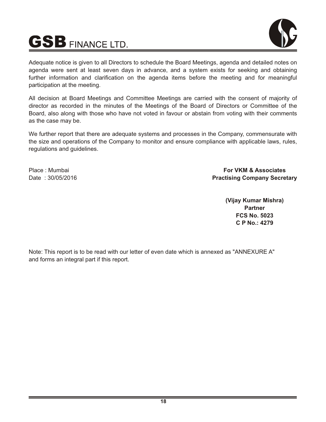



Adequate notice is given to all Directors to schedule the Board Meetings, agenda and detailed notes on agenda were sent at least seven days in advance, and a system exists for seeking and obtaining further information and clarification on the agenda items before the meeting and for meaningful participation at the meeting.

All decision at Board Meetings and Committee Meetings are carried with the consent of majority of director as recorded in the minutes of the Meetings of the Board of Directors or Committee of the Board, also along with those who have not voted in favour or abstain from voting with their comments as the case may be.

We further report that there are adequate systems and processes in the Company, commensurate with the size and operations of the Company to monitor and ensure compliance with applicable laws, rules, regulations and guidelines.

Place : Mumbai Date : 30/05/2016

**For VKM & Associates Practising Company Secretary**

> **(Vijay Kumar Mishra) Partner FCS No. 5023 C P No.: 4279**

Note: This report is to be read with our letter of even date which is annexed as "ANNEXURE A" and forms an integral part if this report.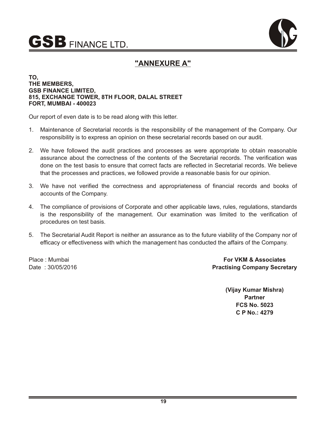



# **"ANNEXURE A"**

#### **TO, THE MEMBERS, GSB FINANCE LIMITED, 815, EXCHANGE TOWER, 8TH FLOOR, DALAL STREET FORT, MUMBAI - 400023**

Our report of even date is to be read along with this letter.

- 1. Maintenance of Secretarial records is the responsibility of the management of the Company. Our responsibility is to express an opinion on these secretarial records based on our audit.
- 2. We have followed the audit practices and processes as were appropriate to obtain reasonable assurance about the correctness of the contents of the Secretarial records. The verification was done on the test basis to ensure that correct facts are reflected in Secretarial records. We believe that the processes and practices, we followed provide a reasonable basis for our opinion.
- 3. We have not verified the correctness and appropriateness of financial records and books of accounts of the Company.
- 4. The compliance of provisions of Corporate and other applicable laws, rules, regulations, standards is the responsibility of the management. Our examination was limited to the verification of procedures on test basis.
- 5. The Secretarial Audit Report is neither an assurance as to the future viability of the Company nor of efficacy or effectiveness with which the management has conducted the affairs of the Company.

Place : Mumbai Date : 30/05/2016

**For VKM & Associates Practising Company Secretary**

> **(Vijay Kumar Mishra) Partner FCS No. 5023 C P No.: 4279**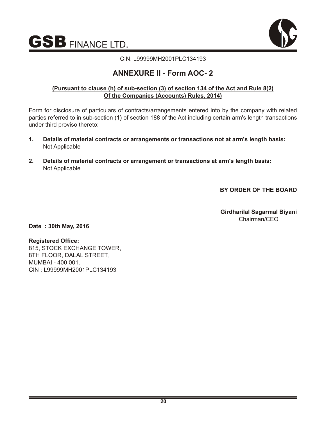

CIN: L99999MH2001PLC134193

# **ANNEXURE II - Form AOC- 2**

#### **(Pursuant to clause (h) of sub-section (3) of section 134 of the Act and Rule 8(2) Of the Companies (Accounts) Rules, 2014)**

Form for disclosure of particulars of contracts/arrangements entered into by the company with related parties referred to in sub-section (1) of section 188 of the Act including certain arm's length transactions under third proviso thereto:

- **1. Details of material contracts or arrangements or transactions not at arm's length basis:** Not Applicable
- **2. Details of material contracts or arrangement or transactions at arm's length basis:** Not Applicable

**BY ORDER OF THE BOARD** 

**Girdharilal Sagarmal Biyani** Chairman/CEO

**Date : 30th May, 2016**

#### **Registered Office:**

815, STOCK EXCHANGE TOWER, 8TH FLOOR, DALAL STREET, MUMBAI - 400 001. CIN : L99999MH2001PLC134193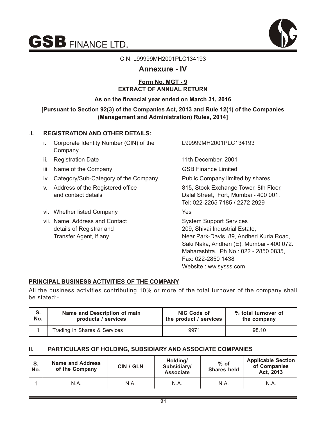



#### CIN: L99999MH2001PLC134193

#### **Annexure - IV**

#### **Form No. MGT - 9 EXTRACT OF ANNUAL RETURN**

#### **As on the financial year ended on March 31, 2016**

#### **[Pursuant to Section 92(3) of the Companies Act, 2013 and Rule 12(1) of the Companies (Management and Administration) Rules, 2014]**

#### .**I. REGISTRATION AND OTHER DETAILS:**

- i. Corporate Identity Number (CIN) of the C99999MH2001PLC134193 Company
- ii. Registration Date 11th December, 2001
- iii. Name of the Company **GSB Finance Limited**
- iv. Category/Sub-Category of the Company Public Company limited by shares
- 
- vi. Whether listed Company **Yes**
- vii. Name, Address and Contact System Support Services details of Registrar and 209, Shivai Industrial Estate,

v. Address of the Registered office 815, Stock Exchange Tower, 8th Floor, and contact details Dalal Street, Fort, Mumbai - 400 001. Tel: 022-2265 7185 / 2272 2929

Transfer Agent, if any Near Park-Davis, 89, Andheri Kurla Road, Saki Naka, Andheri (E), Mumbai - 400 072. Maharashtra. Ph No.: 022 - 2850 0835, Fax: 022-2850 1438 Website : ww.sysss.com

#### **PRINCIPAL BUSINESS ACTIVITIES OF THE COMPANY**

All the business activities contributing 10% or more of the total turnover of the company shall be stated:-

| S.  | Name and Description of main | NIC Code of            | % total turnover of |  |  |  |
|-----|------------------------------|------------------------|---------------------|--|--|--|
| No. | products / services          | the product / services | the company         |  |  |  |
|     | Trading in Shares & Services | 9971                   | 98.10               |  |  |  |

#### **II. PARTICULARS OF HOLDING, SUBSIDIARY AND ASSOCIATE COMPANIES**

| S.<br>No. | Name and Address<br>of the Company | CIN / GLN | Holding/<br>Subsidiary/<br><b>Associate</b> | $%$ of<br><b>Shares held</b> | <b>Applicable Section</b><br>of Companies<br>Act, 2013 |  |  |
|-----------|------------------------------------|-----------|---------------------------------------------|------------------------------|--------------------------------------------------------|--|--|
|           | N.A.                               | N.A.      | N.A.                                        | N.A.                         | N.A.                                                   |  |  |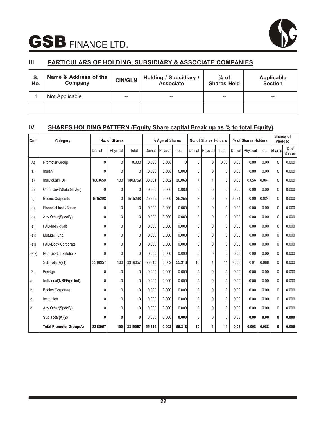

## **III. PARTICULARS OF HOLDING, SUBSIDIARY & ASSOCIATE COMPANIES**

| S.<br>No. | Name & Address of the<br>Company | <b>CIN/GLN</b> | <b>Holding / Subsidiary /</b><br><b>Associate</b> | $%$ of<br><b>Shares Held</b> | <b>Applicable</b><br><b>Section</b> |  |  |
|-----------|----------------------------------|----------------|---------------------------------------------------|------------------------------|-------------------------------------|--|--|
|           | Not Applicable                   | --             | $- -$                                             | $- -$                        | $- -$                               |  |  |
|           |                                  |                |                                                   |                              |                                     |  |  |

#### **IV. SHARES HOLDING PATTERN (Equity Share capital Break up as % to total Equity)**

| Code  | Category                       | No. of Shares |          |         | % Age of Shares |          |          | No. of Shares Holders |              |              | % of Shares Holders |                  |       | Shares of<br>Pledged |                  |
|-------|--------------------------------|---------------|----------|---------|-----------------|----------|----------|-----------------------|--------------|--------------|---------------------|------------------|-------|----------------------|------------------|
|       |                                | Demat         | Physical | Total   | Demat           | Physical | Total    | Demat                 | Physical     | Total        |                     | Demat   Physical | Total | <b>Shares</b>        | $%$ of<br>Shares |
| (A)   | <b>Promoter Group</b>          | $\mathbf{0}$  | 0        | 0.000   | 0.000           | 0.000    | $\Omega$ | $\mathbf{0}$          | $\mathbf{0}$ | 0.00         | 0.00                | 0.00             | 0.00  | $\mathbf{0}$         | 0.000            |
| 1.    | Indian                         | $\Omega$      | 0        | 0       | 0.000           | 0.000    | 0.000    | $\Omega$              | 0            | $\mathbf{0}$ | 0.00                | 0.00             | 0.00  | $\Omega$             | 0.000            |
| (a)   | Individual/HUF                 | 1803659       | 100      | 1803759 | 30.061          | 0.002    | 30.063   | $\overline{7}$        | 1            | 8            | 0.05                | 0.056            | 0.064 | $\Omega$             | 0.000            |
| (b)   | Cent. Govt/State Govt(s)       | $\mathbf{0}$  | 0        | 0       | 0.000           | 0.000    | 0.000    | $\Omega$              | $\mathbf{0}$ | $\mathbf{0}$ | 0.00                | 0.00             | 0.00  | $\Omega$             | 0.000            |
| (c)   | <b>Bodies Corporate</b>        | 1515298       | 0        | 1515298 | 25.255          | 0.000    | 25.255   | 3                     | 0            | 3            | 0.024               | 0.00             | 0.024 | $\Omega$             | 0.000            |
| (d)   | Financial Insti./Banks         | $\mathbf{0}$  | 0        | 0       | 0.000           | 0.000    | 0.000    | $\mathbf{0}$          | $\mathbf{0}$ | $\mathbf{0}$ | 0.00                | 0.00             | 0.00  | $\mathbf{0}$         | 0.000            |
| (e)   | Any Other(Specify)             | 0             | 0        | 0       | 0.000           | 0.000    | 0.000    | 0                     | 0            | $\mathbf{0}$ | 0.00                | 0.00             | 0.00  | $\Omega$             | 0.000            |
| (ei)  | PAC-Individuals                | 0             | 0        | 0       | 0.000           | 0.000    | 0.000    | $\Omega$              | 0            | $\mathbf{0}$ | 0.00                | 0.00             | 0.00  | $\Omega$             | 0.000            |
| (eii) | <b>Mututal Fund</b>            | 0             | 0        | 0       | 0.000           | 0.000    | 0.000    | $\Omega$              | 0            | $\mathbf{0}$ | 0.00                | 0.00             | 0.00  | $\Omega$             | 0.000            |
| (eiii | PAC-Body Corporate             | $\mathbf{0}$  | 0        | 0       | 0.000           | 0.000    | 0.000    | $\mathbf{0}$          | 0            | $\mathbf{0}$ | 0.00                | 0.00             | 0.00  | $\Omega$             | 0.000            |
| (eiv) | Non Govt. Institutions         | $\Omega$      | 0        | 0       | 0.000           | 0.000    | 0.000    | $\Omega$              | 0            | $\Omega$     | 0.00                | 0.00             | 0.00  | $\Omega$             | 0.000            |
|       | Sub Total(A)(1)                | 3318957       | 100      | 3319057 | 55.316          | 0.002    | 55.318   | 10                    | 1            | 11           | 0.008               | 0.01             | 0.088 | $\Omega$             | 0.000            |
| 2.    | Foreign                        | $\mathbf{0}$  | 0        | 0       | 0.000           | 0.000    | 0.000    | $\mathbf{0}$          | 0            | $\mathbf{0}$ | 0.00                | 0.00             | 0.00  | $\mathbf{0}$         | 0.000            |
| a     | Individual(NRI/Frgn Ind)       | 0             | 0        | 0       | 0.000           | 0.000    | 0.000    | $\Omega$              | 0            | 0            | 0.00                | 0.00             | 0.00  | $\Omega$             | 0.000            |
| b     | <b>Bodies Corporate</b>        | $\Omega$      | 0        | 0       | 0.000           | 0.000    | 0.000    | $\Omega$              | 0            | $\Omega$     | 0.00                | 0.00             | 0.00  | $\Omega$             | 0.000            |
| С     | Institution                    | 0             | 0        | 0       | 0.000           | 0.000    | 0.000    | $\mathbf{0}$          | 0            | $\mathbf{0}$ | 0.00                | 0.00             | 0.00  | $\mathbf{0}$         | 0.000            |
| d     | Any Other(Specify)             | $\mathbf{0}$  | 0        | 0       | 0.000           | 0.000    | 0.000    | $\mathbf{0}$          | $\mathbf{0}$ | $\mathbf{0}$ | 0.00                | 0.00             | 0.00  | $\Omega$             | 0.000            |
|       | Sub Total(A)(2)                | 0             | 0        | 0       | 0.000           | 0.000    | 0.000    | 0                     | 0            | 0            | 0.00                | 0.00             | 0.00  | $\mathbf{0}$         | 0.000            |
|       | <b>Total Promoter Group(A)</b> | 3318957       | 100      | 3319057 | 55.316          | 0.002    | 55.318   | 10                    | 1            | 11           | 0.08                | 0.008            | 0.088 | 0                    | 0.000            |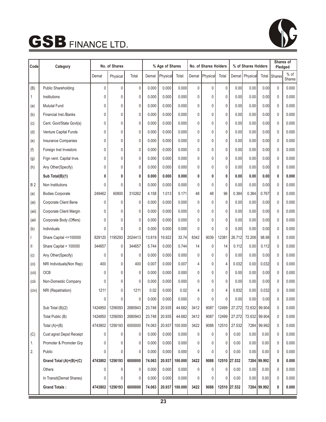

| Code      | Category                        | No. of Shares |                 |                | % Age of Shares |          |         | No. of Shares Holders |              |              | % of Shares Holders | Shares of<br>Pledged |               |              |                         |
|-----------|---------------------------------|---------------|-----------------|----------------|-----------------|----------|---------|-----------------------|--------------|--------------|---------------------|----------------------|---------------|--------------|-------------------------|
|           |                                 | Demat         | Physical        | Total          | Demat           | Physical | Total   | Demat                 | Physical     | Total        |                     | Demat   Physical     | Total         | Shares       | $%$ of<br><b>Shares</b> |
| (B)       | <b>Public Shareholding</b>      | $\mathbf{0}$  | 0               | $\mathbf 0$    | 0.000           | 0.000    | 0.000   | $\mathbf{0}$          | $\mathbf{0}$ | $\mathbf{0}$ | 0.00                | 0.00                 | 0.00          | $\mathbf{0}$ | 0.000                   |
| 1         | Institutions                    | 0             | 0               | $\mathbf 0$    | 0.000           | 0.000    | 0.000   | 0                     | 0            | 0            | 0.00                | 0.00                 | 0.00          | $\mathbf{0}$ | 0.000                   |
| (a)       | <b>Mututal Fund</b>             | 0             | 0               | $\mathbf 0$    | 0.000           | 0.000    | 0.000   | 0                     | $\mathbf{0}$ | 0            | 0.00                | 0.00                 | 0.00          | $\mathbf{0}$ | 0.000                   |
| (b)       | Financial Inst./Banks           | $\mathbf{0}$  | 0               | $\mathbf 0$    | 0.000           | 0.000    | 0.000   | $\mathbf{0}$          | $\mathbf{0}$ | $\mathbf{0}$ | 0.00                | 0.00                 | 0.00          | $\mathbf{0}$ | 0.000                   |
| (c)       | Cent. Govt/State Govt(s)        | 0             | $\mathbf{0}$    | $\mathbf{0}$   | 0.000           | 0.000    | 0.000   | 0                     | $\mathbf{0}$ | $\mathbf{0}$ | 0.00                | 0.00                 | 0.00          | $\mathbf{0}$ | 0.000                   |
| (d)       | Venture Capital Funds           | 0             | 0               | $\mathbf 0$    | 0.000           | 0.000    | 0.000   | 0                     | $\mathbf{0}$ | $\mathbf{0}$ | $0.00 \mathsf{I}$   | 0.00                 | 0.00          | 0            | 0.000                   |
| (e)       | Insurance Companies             | 0             | 0               | $\mathbf 0$    | 0.000           | 0.000    | 0.000   | 0                     | 0            | $\mathbf{0}$ | 0.00                | 0.00                 | 0.00          | $\mathbf{0}$ | 0.000                   |
| (f)       | Foreign Inst Investors          | 0             | 0               | $\mathbf 0$    | 0.000           | 0.000    | 0.000   | 0                     | $\mathbf{0}$ | $\mathbf{0}$ | 0.00                | 0.00                 | 0.00          | $\mathbf 0$  | 0.000                   |
| (g)       | Frgn vent. Capital Inve.        | 0             | $\mathbf{0}$    | $\mathbf 0$    | 0.000           | 0.000    | 0.000   | 0                     | $\mathbf{0}$ | 0            | 0.00                | 0.00                 | 0.00          | $\mathbf{0}$ | 0.000                   |
| (h)       | Any Other(Specify)              | 0             | 0               | $\mathbf 0$    | 0.000           | 0.000    | 0.000   | 0                     | $\mathbf{0}$ | $\mathbf{0}$ | 0.00                | 0.00                 | 0.00          | 0            | 0.000                   |
|           | Sub Total(B)(1)                 | 0             | 0               | 0              | 0.000           | 0.000    | 0.000   | 0                     | 0            | 0            | 0.00                | 0.00                 | 0.00          | 0            | 0.000                   |
| <b>B2</b> | Non Institutions                | $\mathbf{0}$  | $\mathbf{0}$    | $\mathbf{0}$   | 0.000           | 0.000    | 0.000   | $\mathbf{0}$          | $\mathbf{0}$ | $\Omega$     | 0.00                | 0.00                 | 0.00          | $\mathbf{0}$ | 0.000                   |
| (a)       | <b>Bodies Corporate</b>         | 249462        | 60800           | 310262         | 4.158           | 1.013    | 5.171   | 48                    | 48           | 96           | 0.384               | 0.384                | 0.767         | $\mathbf{0}$ | 0.000                   |
| (ai)      | Corporate Client Bene           | 0             | 0               | 0              | 0.000           | 0.000    | 0.000   | $\mathbf{0}$          | 0            | $\mathbf{0}$ | 0.00                | 0.00                 | 0.00          | $\mathbf{0}$ | 0.000                   |
| (aii)     | Corporate Client Margin         | $\mathbf{0}$  | 0               | $\mathbf 0$    | 0.000           | 0.000    | 0.000   | 0                     | 0            | 0            | 0.00                | 0.00                 | 0.00          | $\mathbf{0}$ | 0.000                   |
| (aiii     | Corporate Body (Offers)         | $\mathbf{0}$  | $\mathbf{0}$    | $\mathbf{0}$   | 0.000           | 0.000    | 0.000   | 0                     | $\mathbf{0}$ | 0            | 0.00                | 0.00                 | 0.00          | $\mathbf{0}$ | 0.000                   |
| (b)       | Individuals                     | $\mathbf{0}$  | $\Omega$        | $\Omega$       | 0.000           | 0.000    | 0.000   | 0                     | $\Omega$     | $\Omega$     | 0.00                | 0.00                 | 0.00          | $\mathbf{0}$ | 0.000                   |
| L         | Share Capital <= 100000         | 829120        | 1195293         | 2024413        | 13.819          | 19.922   | 33.74   | 8342                  | 9039         | 12381        | 26.712              | 72.208               | 98.98         | $\mathbf{0}$ | 0.000                   |
| Ш         | Share Capital > 100000          | 344657        | 0               | 344657         | 5.744           | 0.000    | 0.744   | 14                    | $\mathbf{0}$ | 14           | 0.112               | 0.00                 | 0.112         | $\mathbf{0}$ | 0.000                   |
| (c)       | Any Other(Specify)              | $\mathbf{0}$  | 0               | $\mathbf{0}$   | 0.000           | 0.000    | 0.000   | 0                     | $\mathbf{0}$ | $\mathbf{0}$ | 0.00                | 0.00                 | 0.00          | $\mathbf{0}$ | 0.000                   |
| (ci)      | NRI Individuals(Non Rep)        | 400           | 0               | 400            | 0.007           | 0.000    | 0.007   | 4                     | 0            | 4            | 0.032               | 0.00                 | 0.032         | $\mathbf{0}$ | 0.000                   |
| (cii)     | <b>OCB</b>                      | 0             | 0               | $\mathbf 0$    | 0.000           | 0.000    | 0.0001  | 0                     | $\mathbf{0}$ | $\mathbf{0}$ | 0.00                | 0.00                 | 0.00          | 0            | 0.000                   |
| (ciii     | Non-Domestic Company            | $\mathbf{0}$  | 0               | $\overline{0}$ | 0.000           | 0.000    | 0.000   | 0                     | $\mathbf{0}$ | $\mathbf{0}$ | 0.00                | 0.00                 | 0.00          | $\mathbf{0}$ | 0.000                   |
| (civ)     | NRI (Repatriation)              | 1211          | 0               | 1211           | 0.02            | 0.000    | 0.02    | 4                     | 0            | 4            | 0.832               | 0.00                 | 0.032         | $\mathbf{0}$ | 0.000                   |
|           |                                 | 0             | 0               | 0              | 0.000           | 0.000    | 0.000   | 0                     | 0            | 0            | 0.00                | 0.00                 | 0.00          | 0            | 0.000                   |
|           | Sub Total (B)(2)                | 1424850       | 1256093         | 2680943        | 23.748          | 20.935   | 44.682  | 3412                  | 9087         | 12499        | 27.272              |                      | 72.632 99.904 | 0            | 0.000                   |
|           | Total Public (B)                | 1424850       | 1256093         | 2680943        | 23.748          | 20.935   | 44.682  | 3412                  | 9087         | 12499        | 27.272              |                      | 72.632 99.904 | $\mathbf{0}$ | 0.000                   |
|           | Total $(A)+(B)$                 | 4743802       | 1256193         | 6000000        | 74.063          | 20.937   | 100.000 | 3422                  | 9088         | 12510        | 27.532              |                      | 7284 99.992   | $\mathbf{0}$ | 0.000                   |
| (C)       | <b>Cust agnst Depst Receipt</b> | 0             | 0               | 0              | 0.000           | 0.000    | 0.000   | 0                     | 0            | 0            | 0.00                | 0.00                 | 0.00          | $\mathbf{0}$ | 0.000                   |
| 1.        | Promoter & Promoter Grp         | 0             | 0               | 0              | 0.000           | 0.000    | 0.000   | 0                     | 0            | $\mathbf{0}$ | 0.00                | 0.00                 | 0.00          | $\mathbf{0}$ | 0.000                   |
| 2.        | Public                          | 0             | 0               | 0              | 0.000           | 0.000    | 0.000   | 0                     | 0            | $\mathbf{0}$ | 0.00                | 0.00                 | 0.00          | $\mathbf{0}$ | 0.000                   |
|           | Grand Total (A)+(B)+(C)         | 4743802       | 1256193         | 6000000        | 74.063          | 20.937   | 100.000 | 3422                  | 9088         |              | 12510 27.532        |                      | 7284 99.992   | 0            | 0.000                   |
|           | Others                          | 0             | 0               | 0              | 0.000           | 0.000    | 0.000   | 0                     | 0            | 0            | 0.00                | 0.00                 | 0.00          | $\mathbf{0}$ | 0.000                   |
|           | In Transit(Demat Shares)        | 0             | 0               | $\mathbf{0}$   | 0.000           | 0.000    | 0.000   | 0                     | 0            | $\Omega$     | 0.00                | 0.00                 | 0.00          | $\mathbf{0}$ | 0.000                   |
|           | <b>Grand Totals:</b>            |               | 4743802 1256193 | 6000000        | 74.063          | 20.937   | 100.000 | 3422                  | 9088         |              | 12510 27.532        |                      | 7284 99.992   | 0            | 0.000                   |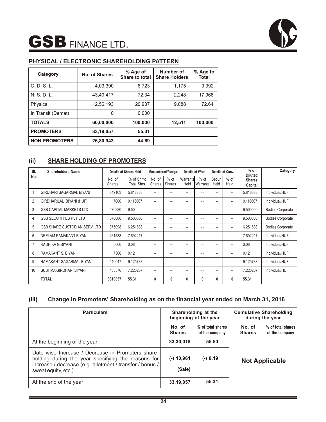

#### **PHYSICAL / ELECTRONIC SHAREHOLDING PATTERN**

| Category             | No. of Shares | % Age of<br>Share to total | Number of<br><b>Share Holders</b> | % Age to<br>Total |
|----------------------|---------------|----------------------------|-----------------------------------|-------------------|
| C. D. S. L.          | 4,03,390      | 6.723                      | 1,175                             | 9.392             |
| N. S. D. L.          | 43,40,417     | 72.34                      | 2,248                             | 17.968            |
| Physical             | 12,56,193     | 20,937                     | 9,088                             | 72.64             |
| In Transit (Demat)   | $\Omega$      | 0.000                      |                                   |                   |
| <b>TOTALS</b>        | 60,00,000     | 100.000                    | 12,511                            | 100.000           |
| <b>PROMOTERS</b>     | 33,19,057     | 55.31                      |                                   |                   |
| <b>NON PROMOTERS</b> | 26,80,943     | 44.69                      |                                   |                   |

#### **(ii) SHARE HOLDING OF PROMOTERS**

| SI.            | <b>Shareholders Name</b>             |                         | Details of Shares Held     |                          | Encumbered/Pledge.       |                  | Details of Warr.   |                | Details of Conv.         | $%$ of<br><b>Diluted</b> | Category                |
|----------------|--------------------------------------|-------------------------|----------------------------|--------------------------|--------------------------|------------------|--------------------|----------------|--------------------------|--------------------------|-------------------------|
| No.            |                                      | No. of<br><b>Shares</b> | % of Shr.to<br>Total Shrs. | No. of<br><b>Shares</b>  | $%$ of<br>Shares         | Warrants<br>Held | $%$ of<br>Warrants | Secur.<br>Held | $%$ of<br>Held           | <b>Shares</b><br>Capital |                         |
| 1              | <b>GIRDHARI SAGARMAL BIYANI</b>      | 349103                  | 5.818383                   | $\overline{a}$           |                          | $-$              | --                 | --             | $\overline{\phantom{a}}$ | 5.818383                 | Individual/HUF          |
| $\overline{2}$ | GIRDHARILAL BIYANI (HUF)             | 7000                    | 0.116667                   | $\overline{a}$           | --                       | --               | --                 | --             | $\overline{\phantom{a}}$ | 0.116667                 | Individual/HUF          |
| 3              | <b>GSB CAPITAL MARKETS LTD.</b>      | 570280                  | 9.50                       | $\overline{a}$           | --                       | $-$              | --                 | $\overline{a}$ | $\overline{\phantom{a}}$ | 9.500000                 | <b>Bodies Corporate</b> |
| 4              | <b>GSB SECURITIES PVT LTD</b>        | 570000                  | 9.500000                   | $-$                      | $-$                      | --               | --                 | $\overline{a}$ | $\overline{\phantom{a}}$ | 9.500000                 | <b>Bodies Corporate</b> |
| 5              | <b>GSB SHARE CUSTODIAN SERV. LTD</b> | 375098                  | 6.251633                   | $\overline{a}$           | $- -$                    | --               | --                 | $\overline{a}$ | $\overline{\phantom{a}}$ | 6.251633                 | <b>Bodies Corporate</b> |
| 6              | NEELAM RAMAKANT BIYANI               | 461533                  | 7.692217                   | $-$                      | $\overline{\phantom{a}}$ | --               | --                 | --             | $\overline{\phantom{a}}$ | 7.692217                 | Individual/HUF          |
| $\overline{7}$ | RADHIKA G BIYANI                     | 5000                    | 0.08                       | $\overline{a}$           | --                       | --               | --                 | $\overline{a}$ | $-$                      | 0.08                     | Individual/HUF          |
| 8              | RAMAKANT S. BIYANI                   | 7500                    | 0.12                       | $\overline{\phantom{a}}$ | $\hspace{0.05cm} \cdots$ | --               | --                 | --             | $\overline{\phantom{a}}$ | 0.12                     | Individual/HUF          |
| 9              | RAMAKANT SAGARMAL BIYANI             | 540047                  | 9.125783                   | $\overline{a}$           | --                       | $-$              | --                 | $\overline{a}$ | $\overline{\phantom{a}}$ | 9.125783                 | Individual/HUF          |
| 10             | SUSHMA GIRDHARI BIYANI               | 433576                  | 7.226267                   | $\overline{\phantom{a}}$ | $\overline{\phantom{a}}$ | --               | --                 | --             | $\overline{\phantom{a}}$ | 7.226267                 | Individual/HUF          |
|                | <b>TOTAL</b>                         | 3319057                 | 55.31                      | $\mathbf{0}$             | 0                        | 0                | 0                  | 0              | 0                        | 55.31                    |                         |

#### **(iii) Change in Promoters' Shareholding as on the financial year ended on March 31, 2016**

| <b>Particulars</b>                                                                                                                                                                         | Shareholding at the<br>beginning of the year |                                     | <b>Cumulative Shareholding</b><br>during the year |                                     |
|--------------------------------------------------------------------------------------------------------------------------------------------------------------------------------------------|----------------------------------------------|-------------------------------------|---------------------------------------------------|-------------------------------------|
|                                                                                                                                                                                            | No. of<br><b>Shares</b>                      | % of total shares<br>of the company | No. of<br><b>Shares</b>                           | % of total shares<br>of the company |
| At the beginning of the year                                                                                                                                                               | 33,30,018                                    | 55.50                               |                                                   |                                     |
| Date wise Increase / Decrease in Promoters share-<br>holding during the year specifying the reasons for<br>increase / decrease (e.g. allotment / transfer / bonus /<br>sweat equity, etc.) | $(-)$ 10,961<br>(Sale)                       | $(-) 0.19$                          | <b>Not Applicable</b>                             |                                     |
| At the end of the year                                                                                                                                                                     | 33,19,057                                    | 55.31                               |                                                   |                                     |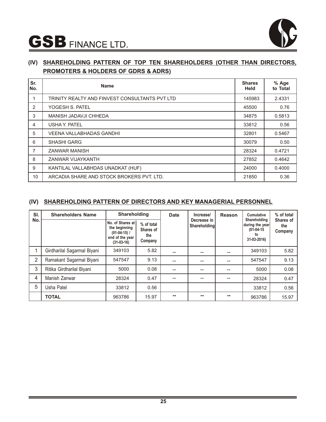

## **(IV) SHAREHOLDING PATTERN OF TOP TEN SHAREHOLDERS (OTHER THAN DIRECTORS, PROMOTERS & HOLDERS OF GDRS & ADRS)**

| Sr.<br>No. | <b>Name</b>                                    | <b>Shares</b><br>Held | % Age<br>to Total |
|------------|------------------------------------------------|-----------------------|-------------------|
|            | TRINITY REALTY AND FINVEST CONSULTANTS PVT LTD | 145983                | 2.4331            |
| 2          | YOGESH S. PATEL                                | 45500                 | 0.76              |
| 3          | MANISH JADAVJI CHHEDA                          | 34875                 | 0.5813            |
| 4          | <b>USHA Y. PATEL</b>                           | 33812                 | 0.56              |
| 5          | <b>VEENA VALLABHADAS GANDHI</b>                | 32801                 | 0.5467            |
| 6          | <b>SHASHI GARG</b>                             | 30079                 | 0.50              |
| 7          | <b>ZANWAR MANISH</b>                           | 28324                 | 0.4721            |
| 8          | ZANWAR VIJAYKANTH                              | 27852                 | 0.4642            |
| 9          | KANTILAL VALLABHDAS UNADKAT (HUF)              | 24000                 | 0.4000            |
| 10         | ARCADIA SHARE AND STOCK BROKERS PVT. LTD.      | 21850                 | 0.36              |

#### **(IV) SHAREHOLDING PATTERN OF DIRECTORS AND KEY MANAGERIAL PERSONNEL**

| SI.<br>No. | <b>Shareholders Name</b>    | <b>Shareholding</b>                                                                      |                                           | <b>Date</b> | Increase/                   | Reason | <b>Cumulative</b>                                                    | % of total                  |
|------------|-----------------------------|------------------------------------------------------------------------------------------|-------------------------------------------|-------------|-----------------------------|--------|----------------------------------------------------------------------|-----------------------------|
|            |                             | No. of Shares at I<br>the beginning<br>$(01-04-15)$ /<br>end of the year<br>$(31-03-16)$ | % of total<br>Shares of<br>the<br>Company |             | Decrease in<br>Shareholding |        | Shareholding<br>during the year<br>$(01-04-15)$<br>to<br>31-03-2016) | Shares of<br>the<br>Company |
|            | Girdharilal Sagarmal Biyani | 349103                                                                                   | 5.82                                      | $- -$       | --                          |        | 349103                                                               | 5.82                        |
| 2          | Ramakant Sagarmal Biyani    | 547547                                                                                   | 9.13                                      | $-$         | --                          |        | 547547                                                               | 9.13                        |
| 3          | Ritika Girdharilal Biyani   | 5000                                                                                     | 0.08                                      | --          |                             |        | 5000                                                                 | 0.08                        |
| 4          | Manish Zanwar               | 28324                                                                                    | 0.47                                      | $- -$       | --                          |        | 28324                                                                | 0.47                        |
| 5          | Usha Patel                  | 33812                                                                                    | 0.56                                      |             |                             |        | 33812                                                                | 0.56                        |
|            | <b>TOTAL</b>                | 963786                                                                                   | 15.97                                     | --          | --                          | --     | 963786                                                               | 15.97                       |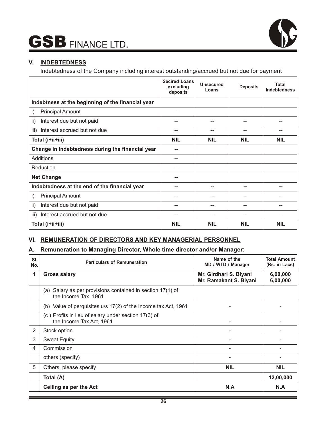

#### **V. INDEBTEDNESS**

Indebtedness of the Company including interest outstanding/accrued but not due for payment

|                                                   | <b>Secired Loans</b><br>excluding<br>deposits | <b>Unsecured</b><br>Loans | <b>Deposits</b> | <b>Total</b><br><b>Indebtedness</b> |
|---------------------------------------------------|-----------------------------------------------|---------------------------|-----------------|-------------------------------------|
| Indebtness at the beginning of the financial year |                                               |                           |                 |                                     |
| <b>Principal Amount</b><br>$\mathsf{i}$           | --                                            |                           | --              |                                     |
| $\mathsf{ii}$ )<br>Interest due but not paid      | --                                            | --                        | --              |                                     |
| Interest accrued but not due<br>iii)              | --                                            |                           | --              |                                     |
| Total (i+ii+iii)                                  | <b>NIL</b>                                    | <b>NIL</b>                | <b>NIL</b>      | <b>NIL</b>                          |
| Change in Indebtedness during the financial year  | --                                            |                           |                 |                                     |
| <b>Additions</b>                                  | --                                            |                           |                 |                                     |
| Reduction                                         | --                                            |                           |                 |                                     |
| <b>Net Change</b>                                 | --                                            |                           |                 |                                     |
| Indebtedness at the end of the financial year     | --                                            | --                        | --              | --                                  |
| $\mathsf{i}$<br><b>Principal Amount</b>           | --                                            |                           | --              |                                     |
| ii)<br>Interest due but not paid                  | --                                            | --                        | --              |                                     |
| Interest accrued but not due<br>iii)              |                                               |                           |                 |                                     |
| Total (i+ii+iii)                                  | <b>NIL</b>                                    | <b>NIL</b>                | <b>NIL</b>      | <b>NIL</b>                          |

#### **VI. REMUNERATION OF DIRECTORS AND KEY MANAGERIAL PERSONNEL**

#### **A. Remuneration to Managing Director, Whole time director and/or Manager:**

| SI.<br>No. | <b>Particulars of Remuneration</b>                                                  | Name of the<br>MD / WTD / Manager                | <b>Total Amount</b><br>(Rs. in Lacs) |
|------------|-------------------------------------------------------------------------------------|--------------------------------------------------|--------------------------------------|
| 1          | <b>Gross salary</b>                                                                 | Mr. Girdhari S. Biyani<br>Mr. Ramakant S. Biyani | 6,00,000<br>6,00,000                 |
|            | (a) Salary as per provisions contained in section 17(1) of<br>the Income Tax. 1961. |                                                  |                                      |
|            | (b) Value of perquisites u/s 17(2) of the Income tax Act, 1961                      |                                                  |                                      |
|            | (c) Profits in lieu of salary under section 17(3) of<br>the Income Tax Act, 1961    |                                                  |                                      |
| 2          | Stock option                                                                        |                                                  |                                      |
| 3          | <b>Sweat Equity</b>                                                                 |                                                  |                                      |
| 4          | Commission                                                                          |                                                  |                                      |
|            | others (specify)                                                                    |                                                  |                                      |
| 5          | Others, please specify                                                              | <b>NIL</b>                                       | <b>NIL</b>                           |
|            | Total (A)                                                                           |                                                  | 12,00,000                            |
|            | Ceiling as per the Act                                                              | N.A                                              | N.A                                  |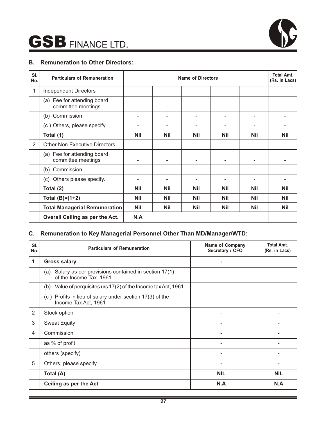

#### **B. Remuneration to Other Directors:**

| SI.<br>No. | <b>Particulars of Remuneration</b>                |            |                 | <b>Name of Directors</b> |            |            | <b>Total Amt.</b><br>(Rs. in Lacs) |
|------------|---------------------------------------------------|------------|-----------------|--------------------------|------------|------------|------------------------------------|
| 1          | <b>Independent Directors</b>                      |            |                 |                          |            |            |                                    |
|            | (a) Fee for attending board<br>committee meetings |            |                 |                          |            |            |                                    |
|            | (b) Commission                                    |            |                 |                          |            |            |                                    |
|            | (c) Others, please specify                        |            |                 |                          |            |            |                                    |
|            | Total (1)                                         | <b>Nil</b> | <b>Nil</b>      | <b>Nil</b>               | <b>Nil</b> | <b>Nil</b> | <b>Nil</b>                         |
| 2          | <b>Other Non Executive Directors</b>              |            |                 |                          |            |            |                                    |
|            | (a) Fee for attending board<br>committee meetings | -          | $\qquad \qquad$ |                          |            |            |                                    |
|            | (b) Commission                                    |            |                 |                          |            |            |                                    |
|            | Others please specify.<br>(c)                     | -          |                 |                          |            |            |                                    |
|            | Total (2)                                         | <b>Nil</b> | <b>Nil</b>      | <b>Nil</b>               | <b>Nil</b> | <b>Nil</b> | <b>Nil</b>                         |
|            | Total $(B)=(1+2)$                                 | <b>Nil</b> | <b>Nil</b>      | <b>Nil</b>               | <b>Nil</b> | <b>Nil</b> | <b>Nil</b>                         |
|            | <b>Total Managerial Remuneration</b>              | <b>Nil</b> | <b>Nil</b>      | <b>Nil</b>               | <b>Nil</b> | <b>Nil</b> | <b>Nil</b>                         |
|            | Overall Ceiling as per the Act.                   | N.A        |                 |                          |            |            |                                    |

#### **C. Remuneration to Key Managerial Personnel Other Than MD/Manager/WTD:**

| SI.<br>No.     | <b>Particulars of Remuneration</b>                                                  | <b>Name of Company</b><br>Secretary / CFO | <b>Total Amt.</b><br>(Rs. in Lacs) |
|----------------|-------------------------------------------------------------------------------------|-------------------------------------------|------------------------------------|
| 1              | <b>Gross salary</b>                                                                 |                                           |                                    |
|                | (a) Salary as per provisions contained in section 17(1)<br>of the Income Tax. 1961. |                                           |                                    |
|                | (b) Value of perquisites u/s 17(2) of the Income tax Act, 1961                      |                                           |                                    |
|                | (c) Profits in lieu of salary under section 17(3) of the<br>Income Tax Act, 1961    |                                           |                                    |
| $\overline{2}$ | Stock option                                                                        |                                           |                                    |
| 3              | <b>Sweat Equity</b>                                                                 |                                           |                                    |
| $\overline{4}$ | Commission                                                                          |                                           |                                    |
|                | as % of profit                                                                      |                                           |                                    |
|                | others (specify)                                                                    |                                           |                                    |
| 5              | Others, please specify                                                              |                                           |                                    |
|                | Total (A)                                                                           | <b>NIL</b>                                | <b>NIL</b>                         |
|                | <b>Ceiling as per the Act</b>                                                       | N.A                                       | N.A                                |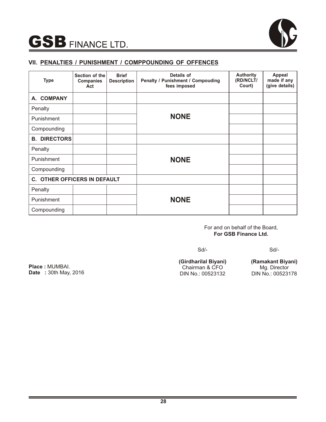

#### **VII. PENALTIES / PUNISHMENT / COMPPOUNDING OF OFFENCES**

| <b>Type</b>                  | Section of the<br><b>Companies</b><br>Act | <b>Brief</b><br><b>Description</b> | Details of<br><b>Penalty / Punishment / Compouding</b><br>fees imposed | <b>Authority</b><br>(RD/NCLT/<br>Court) | Appeal<br>made if any<br>(give details) |
|------------------------------|-------------------------------------------|------------------------------------|------------------------------------------------------------------------|-----------------------------------------|-----------------------------------------|
| A. COMPANY                   |                                           |                                    |                                                                        |                                         |                                         |
| Penalty                      |                                           |                                    |                                                                        |                                         |                                         |
| Punishment                   |                                           |                                    | <b>NONE</b>                                                            |                                         |                                         |
| Compounding                  |                                           |                                    |                                                                        |                                         |                                         |
| <b>B. DIRECTORS</b>          |                                           |                                    |                                                                        |                                         |                                         |
| Penalty                      |                                           |                                    |                                                                        |                                         |                                         |
| Punishment                   |                                           |                                    | <b>NONE</b>                                                            |                                         |                                         |
| Compounding                  |                                           |                                    |                                                                        |                                         |                                         |
| C. OTHER OFFICERS IN DEFAULT |                                           |                                    |                                                                        |                                         |                                         |
| Penalty                      |                                           |                                    |                                                                        |                                         |                                         |
| Punishment                   |                                           |                                    | <b>NONE</b>                                                            |                                         |                                         |
| Compounding                  |                                           |                                    |                                                                        |                                         |                                         |

#### For and on behalf of the Board, **For GSB Finance Ltd.**

Sd/-

Sd/-

**Place :** MUMBAI. **Date :** 30th May, 2016 **(Girdharilal Biyani)**  Chairman & CFO DIN No.: 00523132

**(Ramakant Biyani)**  Mg. Director DIN No.: 00523178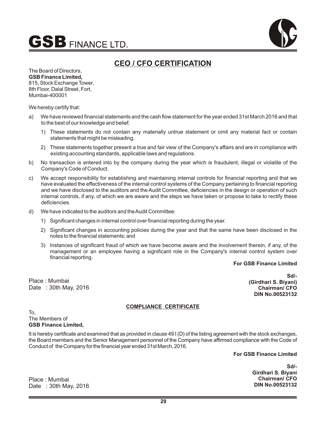



## **CEO / CFO CERTIFICATION**

The Board of Directors, **GSB Finance Limited,** 815, Stock Exchange Tower, 8th Floor, Dalal Street, Fort, Mumbai-400001

We hereby certify that:

- a) We have reviewed financial statements and the cash flow statement for the year ended 31st March 2016 and that to the best of our knowledge and belief;
	- 1) These statements do not contain any materially untrue statement or omit any material fact or contain statements that might be misleading.
	- 2) These statements together present a true and fair view of the Company's affairs and are in compliance with existing accounting standards, applicable laws and regulations.
- b) No transaction is entered into by the company during the year which is fraudulent, illegal or violatile of the Company's Code of Conduct.
- c) We accept responsibility for establishing and maintaining internal controls for financial reporting and that we have evaluated the effectiveness of the internal control systems of the Company pertaining to financial reporting and we have disclosed to the auditors and the Audit Committee, deficiencies in the design or operation of such internal controls, if any, of which we are aware and the steps we have taken or propose to take to rectify these deficiencies.
- d) We have indicated to the auditors and the Audit Committee:
	- 1) Significant changes in internal control over financial reporting during the year.
	- 2) Significant changes in accounting policies during the year and that the same have been disclosed in the notes to the financial statements; and
	- 3) Instances of significant fraud of which we have become aware and the involvement therein, if any, of the management or an employee having a significant role in the Company's internal control system over financial reporting.

#### **For GSB Finance Limited**

Place : Mumbai Date : 30th May, 2016

**Sd/- (Girdhari S. Biyani) Chairman/ CFO DIN No.00523132**

#### **COMPLIANCE CERTIFICATE**

To, The Members of **GSB Finance Limited,**

It is hereby certificate and examined that as provided in clause 49 I (D) of the listing agreement with the stock exchanges, the Board members and the Senior Management personnel of the Company have affirmed compliance with the Code of Conduct of the Company for the financial year ended 31st March, 2016.

**For GSB Finance Limited**

**Sd/- Girdhari S. Biyani Chairman/ CFO DIN No.00523132**

Place : Mumbai Date : 30th May, 2016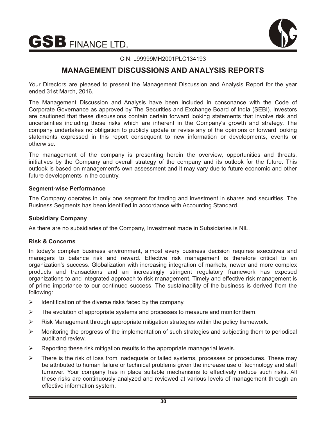

#### CIN: L99999MH2001PLC134193

## **MANAGEMENT DISCUSSIONS AND ANALYSIS REPORTS**

Your Directors are pleased to present the Management Discussion and Analysis Report for the year ended 31st March, 2016.

The Management Discussion and Analysis have been included in consonance with the Code of Corporate Governance as approved by The Securities and Exchange Board of India (SEBI). Investors are cautioned that these discussions contain certain forward looking statements that involve risk and uncertainties including those risks which are inherent in the Company's growth and strategy. The company undertakes no obligation to publicly update or revise any of the opinions or forward looking statements expressed in this report consequent to new information or developments, events or otherwise.

The management of the company is presenting herein the overview, opportunities and threats, initiatives by the Company and overall strategy of the company and its outlook for the future. This outlook is based on management's own assessment and it may vary due to future economic and other future developments in the country.

#### **Segment-wise Performance**

The Company operates in only one segment for trading and investment in shares and securities. The Business Segments has been identified in accordance with Accounting Standard.

#### **Subsidiary Company**

As there are no subsidiaries of the Company, Investment made in Subsidiaries is NIL.

#### **Risk & Concerns**

In today's complex business environment, almost every business decision requires executives and managers to balance risk and reward. Effective risk management is therefore critical to an organization's success. Globalization with increasing integration of markets, newer and more complex products and transactions and an increasingly stringent regulatory framework has exposed organizations to and integrated approach to risk management. Timely and effective risk management is of prime importance to our continued success. The sustainability of the business is derived from the following:

- $\triangleright$  Identification of the diverse risks faced by the company.
- $\triangleright$  The evolution of appropriate systems and processes to measure and monitor them.
- Ø Risk Management through appropriate mitigation strategies within the policy framework.
- Ø Monitoring the progress of the implementation of such strategies and subjecting them to periodical audit and review.
- $\triangleright$  Reporting these risk mitigation results to the appropriate managerial levels.
- Ø There is the risk of loss from inadequate or failed systems, processes or procedures. These may be attributed to human failure or technical problems given the increase use of technology and staff turnover. Your company has in place suitable mechanisms to effectively reduce such risks. All these risks are continuously analyzed and reviewed at various levels of management through an effective information system.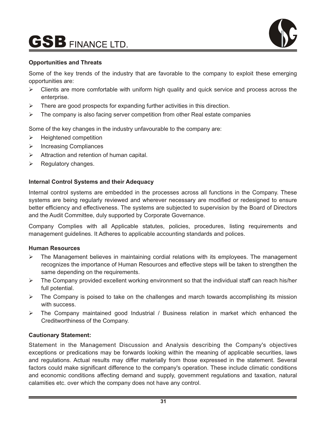

#### **Opportunities and Threats**

Some of the key trends of the industry that are favorable to the company to exploit these emerging opportunities are:

- $\triangleright$  Clients are more comfortable with uniform high quality and quick service and process across the enterprise.
- $\triangleright$  There are good prospects for expanding further activities in this direction.
- $\triangleright$  The company is also facing server competition from other Real estate companies

Some of the key changes in the industry unfavourable to the company are:

- $\triangleright$  Heightened competition
- > Increasing Compliances
- $\triangleright$  Attraction and retention of human capital.
- $\triangleright$  Regulatory changes.

#### **Internal Control Systems and their Adequacy**

Internal control systems are embedded in the processes across all functions in the Company. These systems are being regularly reviewed and wherever necessary are modified or redesigned to ensure better efficiency and effectiveness. The systems are subjected to supervision by the Board of Directors and the Audit Committee, duly supported by Corporate Governance.

Company Complies with all Applicable statutes, policies, procedures, listing requirements and management guidelines. It Adheres to applicable accounting standards and polices.

#### **Human Resources**

- $\triangleright$  The Management believes in maintaining cordial relations with its employees. The management recognizes the importance of Human Resources and effective steps will be taken to strengthen the same depending on the requirements.
- Ø The Company provided excellent working environment so that the individual staff can reach his/her full potential.
- $\triangleright$  The Company is poised to take on the challenges and march towards accomplishing its mission with success.
- Ø The Company maintained good Industrial / Business relation in market which enhanced the Creditworthiness of the Company.

#### **Cautionary Statement:**

Statement in the Management Discussion and Analysis describing the Company's objectives exceptions or predications may be forwards looking within the meaning of applicable securities, laws and regulations. Actual results may differ materially from those expressed in the statement. Several factors could make significant difference to the company's operation. These include climatic conditions and economic conditions affecting demand and supply, government regulations and taxation, natural calamities etc. over which the company does not have any control.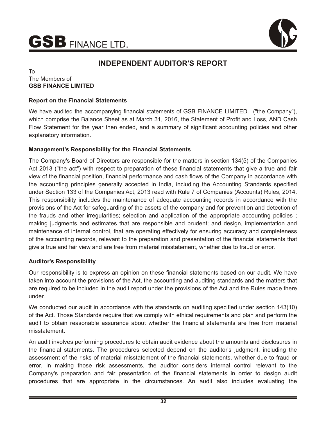

# **INDEPENDENT AUDITOR'S REPORT**

#### To The Members of **GSB FINANCE LIMITED**

#### **Report on the Financial Statements**

We have audited the accompanying financial statements of GSB FINANCE LIMITED. ("the Company"), which comprise the Balance Sheet as at March 31, 2016, the Statement of Profit and Loss, AND Cash Flow Statement for the year then ended, and a summary of significant accounting policies and other explanatory information.

#### **Management's Responsibility for the Financial Statements**

The Company's Board of Directors are responsible for the matters in section 134(5) of the Companies Act 2013 ("the act") with respect to preparation of these financial statements that give a true and fair view of the financial position, financial performance and cash flows of the Company in accordance with the accounting principles generally accepted in India, including the Accounting Standards specified under Section 133 of the Companies Act, 2013 read with Rule 7 of Companies (Accounts) Rules, 2014. This responsibility includes the maintenance of adequate accounting records in accordance with the provisions of the Act for safeguarding of the assets of the company and for prevention and detection of the frauds and other irregularities; selection and application of the appropriate accounting policies ; making judgments and estimates that are responsible and prudent; and design, implementation and maintenance of internal control, that are operating effectively for ensuring accuracy and completeness of the accounting records, relevant to the preparation and presentation of the financial statements that give a true and fair view and are free from material misstatement, whether due to fraud or error.

#### **Auditor's Responsibility**

Our responsibility is to express an opinion on these financial statements based on our audit. We have taken into account the provisions of the Act, the accounting and auditing standards and the matters that are required to be included in the audit report under the provisions of the Act and the Rules made there under.

We conducted our audit in accordance with the standards on auditing specified under section 143(10) of the Act. Those Standards require that we comply with ethical requirements and plan and perform the audit to obtain reasonable assurance about whether the financial statements are free from material misstatement.

An audit involves performing procedures to obtain audit evidence about the amounts and disclosures in the financial statements. The procedures selected depend on the auditor's judgment, including the assessment of the risks of material misstatement of the financial statements, whether due to fraud or error. In making those risk assessments, the auditor considers internal control relevant to the Company's preparation and fair presentation of the financial statements in order to design audit procedures that are appropriate in the circumstances. An audit also includes evaluating the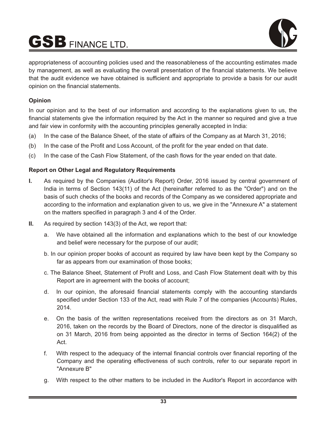

appropriateness of accounting policies used and the reasonableness of the accounting estimates made by management, as well as evaluating the overall presentation of the financial statements. We believe that the audit evidence we have obtained is sufficient and appropriate to provide a basis for our audit opinion on the financial statements.

#### **Opinion**

In our opinion and to the best of our information and according to the explanations given to us, the financial statements give the information required by the Act in the manner so required and give a true and fair view in conformity with the accounting principles generally accepted in India:

- (a) In the case of the Balance Sheet, of the state of affairs of the Company as at March 31, 2016;
- (b) In the case of the Profit and Loss Account, of the profit for the year ended on that date.
- (c) In the case of the Cash Flow Statement, of the cash flows for the year ended on that date.

#### **Report on Other Legal and Regulatory Requirements**

- **I.** As required by the Companies (Auditor's Report) Order, 2016 issued by central government of India in terms of Section 143(11) of the Act (hereinafter referred to as the "Order") and on the basis of such checks of the books and records of the Company as we considered appropriate and according to the information and explanation given to us, we give in the "Annexure A" a statement on the matters specified in paragraph 3 and 4 of the Order.
- **II.** As required by section 143(3) of the Act, we report that:
	- a. We have obtained all the information and explanations which to the best of our knowledge and belief were necessary for the purpose of our audit;
	- b. In our opinion proper books of account as required by law have been kept by the Company so far as appears from our examination of those books;
	- c. The Balance Sheet, Statement of Profit and Loss, and Cash Flow Statement dealt with by this Report are in agreement with the books of account;
	- d. In our opinion, the aforesaid financial statements comply with the accounting standards specified under Section 133 of the Act, read with Rule 7 of the companies (Accounts) Rules, 2014.
	- e. On the basis of the written representations received from the directors as on 31 March, 2016, taken on the records by the Board of Directors, none of the director is disqualified as on 31 March, 2016 from being appointed as the director in terms of Section 164(2) of the Act.
	- f. With respect to the adequacy of the internal financial controls over financial reporting of the Company and the operating effectiveness of such controls, refer to our separate report in "Annexure B"
	- g. With respect to the other matters to be included in the Auditor's Report in accordance with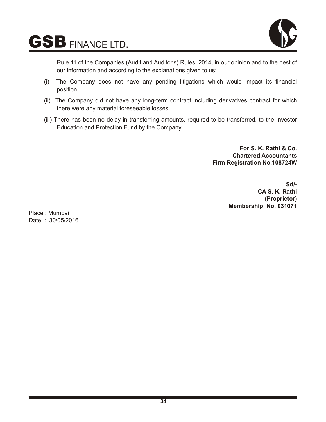

Rule 11 of the Companies (Audit and Auditor's) Rules, 2014, in our opinion and to the best of our information and according to the explanations given to us:

- (i) The Company does not have any pending litigations which would impact its financial position.
- (ii) The Company did not have any long-term contract including derivatives contract for which there were any material foreseeable losses.
- (iii) There has been no delay in transferring amounts, required to be transferred, to the Investor Education and Protection Fund by the Company.

**For S. K. Rathi & Co. Chartered Accountants Firm Registration No.108724W**

> **Sd/- CA S. K. Rathi (Proprietor) Membership No. 031071**

Place : Mumbai Date : 30/05/2016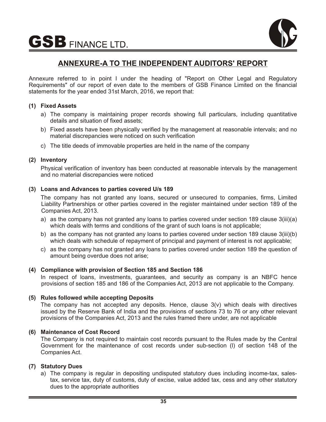

# **ANNEXURE-A TO THE INDEPENDENT AUDITORS' REPORT**

Annexure referred to in point I under the heading of "Report on Other Legal and Regulatory Requirements" of our report of even date to the members of GSB Finance Limited on the financial statements for the year ended 31st March, 2016, we report that:

#### **(1) Fixed Assets**

- a) The company is maintaining proper records showing full particulars, including quantitative details and situation of fixed assets;
- b) Fixed assets have been physically verified by the management at reasonable intervals; and no material discrepancies were noticed on such verification
- c) The title deeds of immovable properties are held in the name of the company

#### **(2) Inventory**

Physical verification of inventory has been conducted at reasonable intervals by the management and no material discrepancies were noticed

#### **(3) Loans and Advances to parties covered U/s 189**

The company has not granted any loans, secured or unsecured to companies, firms, Limited Liability Partnerships or other parties covered in the register maintained under section 189 of the Companies Act, 2013.

- a) as the company has not granted any loans to parties covered under section 189 clause 3(iii)(a) which deals with terms and conditions of the grant of such loans is not applicable;
- b) as the company has not granted any loans to parties covered under section 189 clause 3(iii)(b) which deals with schedule of repayment of principal and payment of interest is not applicable;
- c) as the company has not granted any loans to parties covered under section 189 the question of amount being overdue does not arise;

#### **(4) Compliance with provision of Section 185 and Section 186**

In respect of loans, investments, guarantees, and security as company is an NBFC hence provisions of section 185 and 186 of the Companies Act, 2013 are not applicable to the Company.

#### **(5) Rules followed while accepting Deposits**

The company has not accepted any deposits. Hence, clause 3(v) which deals with directives issued by the Reserve Bank of India and the provisions of sections 73 to 76 or any other relevant provisions of the Companies Act, 2013 and the rules framed there under, are not applicable

#### **(6) Maintenance of Cost Record**

The Company is not required to maintain cost records pursuant to the Rules made by the Central Government for the maintenance of cost records under sub-section (l) of section 148 of the Companies Act.

#### **(7) Statutory Dues**

a) The company is regular in depositing undisputed statutory dues including income-tax, salestax, service tax, duty of customs, duty of excise, value added tax, cess and any other statutory dues to the appropriate authorities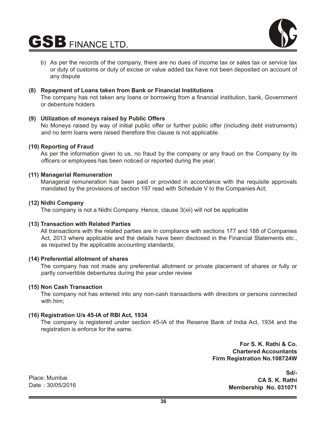

b) As per the records of the company, there are no dues of income tax or sales tax or service tax or duty of customs or duty of excise or value added tax have not been deposited on account of any dispute

#### **(8) Repayment of Loans taken from Bank or Financial Institutions**

The company has not taken any loans or borrowing from a financial institution, bank, Government or debenture holders

#### **(9) Utilization of moneys raised by Public Offers**

No Moneys raised by way of initial public offer or further public offer (including debt instruments) and no term loans were raised therefore this clause is not applicable.

#### **(10) Reporting of Fraud**

As per the information given to us, no fraud by the company or any fraud on the Company by its officers or employees has been noticed or reported during the year;

#### **(11) Managerial Remuneration**

Managerial remuneration has been paid or provided in accordance with the requisite approvals mandated by the provisions of section 197 read with Schedule V to the Companies Act;

#### **(12) Nidhi Company**

The company is not a Nidhi Company. Hence, clause 3(xii) will not be applicable

#### **(13) Transaction with Related Parties**

All transactions with the related parties are in compliance with sections 177 and 188 of Companies Act, 2013 where applicable and the details have been disclosed in the Financial Statements etc., as required by the applicable accounting standards;

#### **(14) Preferential allotment of shares**

The company has not made any preferential allotment or private placement of shares or fully or partly convertible debentures during the year under review

#### **(15) Non Cash Transaction**

The company not has entered into any non-cash transactions with directors or persons connected with him;

#### **(16) Registration U/s 45-IA of RBI Act, 1934**

The company is registered under section 45-IA of the Reserve Bank of India Act, 1934 and the registration is enforce for the same.

> **For S. K. Rathi & Co. Chartered Accountants Firm Registration No.108724W**

Place: Mumbai Date : 30/05/2016

**Sd/- CA S. K. Rathi Membership No. 031071**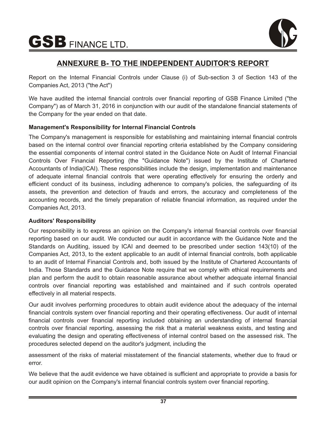

# **ANNEXURE B- TO THE INDEPENDENT AUDITOR'S REPORT**

Report on the Internal Financial Controls under Clause (i) of Sub-section 3 of Section 143 of the Companies Act, 2013 ("the Act")

We have audited the internal financial controls over financial reporting of GSB Finance Limited ("the Company") as of March 31, 2016 in conjunction with our audit of the standalone financial statements of the Company for the year ended on that date.

#### **Management's Responsibility for Internal Financial Controls**

The Company's management is responsible for establishing and maintaining internal financial controls based on the internal control over financial reporting criteria established by the Company considering the essential components of internal control stated in the Guidance Note on Audit of Internal Financial Controls Over Financial Reporting (the "Guidance Note") issued by the Institute of Chartered Accountants of India(ICAI). These responsibilities include the design, implementation and maintenance of adequate internal financial controls that were operating effectively for ensuring the orderly and efficient conduct of its business, including adherence to company's policies, the safeguarding of its assets, the prevention and detection of frauds and errors, the accuracy and completeness of the accounting records, and the timely preparation of reliable financial information, as required under the Companies Act, 2013.

#### **Auditors' Responsibility**

Our responsibility is to express an opinion on the Company's internal financial controls over financial reporting based on our audit. We conducted our audit in accordance with the Guidance Note and the Standards on Auditing, issued by ICAI and deemed to be prescribed under section 143(10) of the Companies Act, 2013, to the extent applicable to an audit of internal financial controls, both applicable to an audit of Internal Financial Controls and, both issued by the Institute of Chartered Accountants of India. Those Standards and the Guidance Note require that we comply with ethical requirements and plan and perform the audit to obtain reasonable assurance about whether adequate internal financial controls over financial reporting was established and maintained and if such controls operated effectively in all material respects.

Our audit involves performing procedures to obtain audit evidence about the adequacy of the internal financial controls system over financial reporting and their operating effectiveness. Our audit of internal financial controls over financial reporting included obtaining an understanding of internal financial controls over financial reporting, assessing the risk that a material weakness exists, and testing and evaluating the design and operating effectiveness of internal control based on the assessed risk. The procedures selected depend on the auditor's judgment, including the

assessment of the risks of material misstatement of the financial statements, whether due to fraud or error.

We believe that the audit evidence we have obtained is sufficient and appropriate to provide a basis for our audit opinion on the Company's internal financial controls system over financial reporting.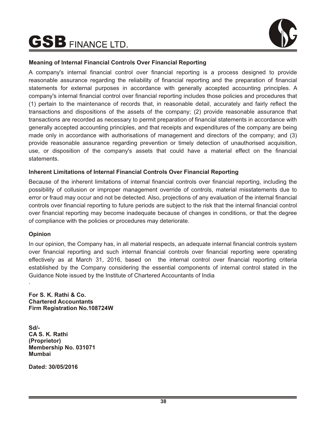

#### **Meaning of Internal Financial Controls Over Financial Reporting**

A company's internal financial control over financial reporting is a process designed to provide reasonable assurance regarding the reliability of financial reporting and the preparation of financial statements for external purposes in accordance with generally accepted accounting principles. A company's internal financial control over financial reporting includes those policies and procedures that (1) pertain to the maintenance of records that, in reasonable detail, accurately and fairly reflect the transactions and dispositions of the assets of the company; (2) provide reasonable assurance that transactions are recorded as necessary to permit preparation of financial statements in accordance with generally accepted accounting principles, and that receipts and expenditures of the company are being made only in accordance with authorisations of management and directors of the company; and (3) provide reasonable assurance regarding prevention or timely detection of unauthorised acquisition, use, or disposition of the company's assets that could have a material effect on the financial statements.

#### **Inherent Limitations of Internal Financial Controls Over Financial Reporting**

Because of the inherent limitations of internal financial controls over financial reporting, including the possibility of collusion or improper management override of controls, material misstatements due to error or fraud may occur and not be detected. Also, projections of any evaluation of the internal financial controls over financial reporting to future periods are subject to the risk that the internal financial control over financial reporting may become inadequate because of changes in conditions, or that the degree of compliance with the policies or procedures may deteriorate.

#### **Opinion**

.

In our opinion, the Company has, in all material respects, an adequate internal financial controls system over financial reporting and such internal financial controls over financial reporting were operating effectively as at March 31, 2016, based on the internal control over financial reporting criteria established by the Company considering the essential components of internal control stated in the Guidance Note issued by the Institute of Chartered Accountants of India

**For S. K. Rathi & Co. Chartered Accountants Firm Registration No.108724W**

**Sd/- CA S. K. Rathi (Proprietor) Membership No. 031071 Mumbai**

**Dated: 30/05/2016**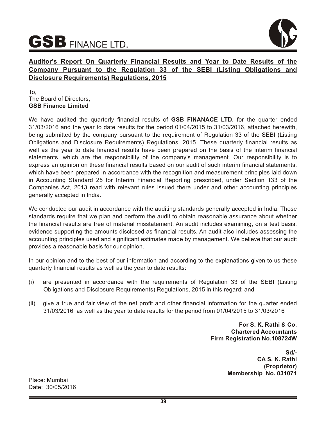

**Auditor's Report On Quarterly Financial Results and Year to Date Results of the Company Pursuant to the Regulation 33 of the SEBI (Listing Obligations and Disclosure Requirements) Regulations, 2015**

To, The Board of Directors, **GSB Finance Limited**

We have audited the quarterly financial results of **GSB FINANACE LTD.** for the quarter ended 31/03/2016 and the year to date results for the period 01/04/2015 to 31/03/2016, attached herewith, being submitted by the company pursuant to the requirement of Regulation 33 of the SEBI (Listing Obligations and Disclosure Requirements) Regulations, 2015. These quarterly financial results as well as the year to date financial results have been prepared on the basis of the interim financial statements, which are the responsibility of the company's management. Our responsibility is to express an opinion on these financial results based on our audit of such interim financial statements, which have been prepared in accordance with the recognition and measurement principles laid down in Accounting Standard 25 for Interim Financial Reporting prescribed, under Section 133 of the Companies Act, 2013 read with relevant rules issued there under and other accounting principles generally accepted in India.

We conducted our audit in accordance with the auditing standards generally accepted in India. Those standards require that we plan and perform the audit to obtain reasonable assurance about whether the financial results are free of material misstatement. An audit includes examining, on a test basis, evidence supporting the amounts disclosed as financial results. An audit also includes assessing the accounting principles used and significant estimates made by management. We believe that our audit provides a reasonable basis for our opinion.

In our opinion and to the best of our information and according to the explanations given to us these quarterly financial results as well as the year to date results:

- (i) are presented in accordance with the requirements of Regulation 33 of the SEBI (Listing Obligations and Disclosure Requirements) Regulations, 2015 in this regard; and
- (ii) give a true and fair view of the net profit and other financial information for the quarter ended 31/03/2016 as well as the year to date results for the period from 01/04/2015 to 31/03/2016

**For S. K. Rathi & Co. Chartered Accountants Firm Registration No.108724W**

> **Sd/- CA S. K. Rathi (Proprietor) Membership No. 031071**

Place: Mumbai Date: 30/05/2016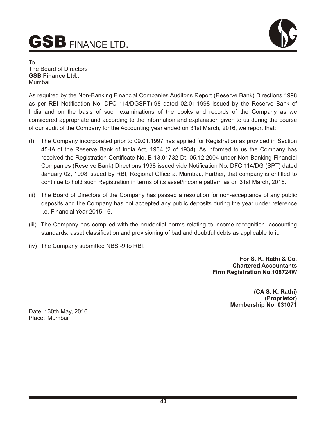

To, The Board of Directors **GSB Finance Ltd.,** Mumbai

As required by the Non-Banking Financial Companies Auditor's Report (Reserve Bank) Directions 1998 as per RBI Notification No. DFC 114/DGSPT)-98 dated 02.01.1998 issued by the Reserve Bank of India and on the basis of such examinations of the books and records of the Company as we considered appropriate and according to the information and explanation given to us during the course of our audit of the Company for the Accounting year ended on 31st March, 2016, we report that:

- (I) The Company incorporated prior to 09.01.1997 has applied for Registration as provided in Section 45-IA of the Reserve Bank of India Act, 1934 (2 of 1934). As informed to us the Company has received the Registration Certificate No. B-13.01732 Dt. 05.12.2004 under Non-Banking Financial Companies (Reserve Bank) Directions 1998 issued vide Notification No. DFC 114/DG (SPT) dated January 02, 1998 issued by RBI, Regional Office at Mumbai., Further, that company is entitled to continue to hold such Registration in terms of its asset/income pattern as on 31st March, 2016.
- (ii) The Board of Directors of the Company has passed a resolution for non-acceptance of any public deposits and the Company has not accepted any public deposits during the year under reference i.e. Financial Year 2015-16
- (iii) The Company has complied with the prudential norms relating to income recognition, accounting standards, asset classification and provisioning of bad and doubtful debts as applicable to it.
- (iv) The Company submitted NBS -9 to RBI.

**For S. K. Rathi & Co. Chartered Accountants Firm Registration No.108724W**

> **(CA S. K. Rathi) (Proprietor) Membership No. 031071**

Date : 30th May, 2016 Place : Mumbai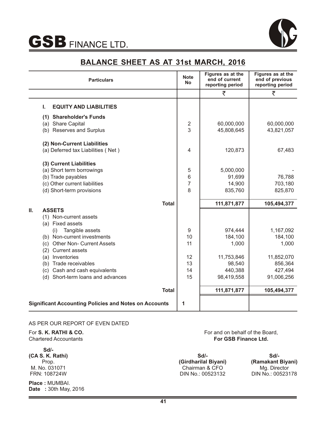

# **BALANCE SHEET AS AT 31st MARCH, 2016**

| <b>Particulars</b>                                           | <b>Note</b><br><b>No</b> | Figures as at the<br>end of current<br>reporting period | Figures as at the<br>end of previous<br>reporting period |
|--------------------------------------------------------------|--------------------------|---------------------------------------------------------|----------------------------------------------------------|
|                                                              |                          | ₹                                                       | ₹                                                        |
| ı.<br><b>EQUITY AND LIABILITIES</b>                          |                          |                                                         |                                                          |
| (1) Shareholder's Funds                                      |                          |                                                         |                                                          |
| (a) Share Capital                                            | $\overline{2}$           | 60,000,000                                              | 60,000,000                                               |
| (b) Reserves and Surplus                                     | $\overline{3}$           | 45,808,645                                              | 43,821,057                                               |
| (2) Non-Current Liabilities                                  |                          |                                                         |                                                          |
| (a) Deferred tax Liabilities (Net)                           | 4                        | 120,873                                                 | 67,483                                                   |
| (3) Current Liabilities                                      |                          |                                                         |                                                          |
| (a) Short term borrowings                                    | 5                        | 5,000,000                                               |                                                          |
| (b) Trade payables                                           | 6                        | 91,699                                                  | 76,788                                                   |
| (c) Other current liabilities                                | $\overline{7}$           | 14,900                                                  | 703,180                                                  |
| (d) Short-term provisions                                    | 8                        | 835,760                                                 | 825,870                                                  |
| <b>Total</b>                                                 |                          | 111,871,877                                             | 105,494,377                                              |
| <b>ASSETS</b><br>Ш.                                          |                          |                                                         |                                                          |
| (1) Non-current assets                                       |                          |                                                         |                                                          |
| (a) Fixed assets                                             |                          |                                                         |                                                          |
| Tangible assets<br>(i)                                       | 9                        | 974,444                                                 | 1,167,092                                                |
| (b) Non-current investments                                  | 10                       | 184,100                                                 | 184,100                                                  |
| <b>Other Non- Current Assets</b><br>(c)                      | 11                       | 1,000                                                   | 1,000                                                    |
| <b>Current assets</b><br>(2)                                 |                          |                                                         |                                                          |
| Inventories<br>(a)                                           | 12                       | 11,753,846                                              | 11,852,070                                               |
| (b) Trade receivables                                        | 13                       | 98,540                                                  | 856,364                                                  |
| (c) Cash and cash equivalents                                | 14                       | 440,388                                                 | 427,494                                                  |
| (d) Short-term loans and advances                            | 15                       | 98,419,558                                              | 91,006,256                                               |
| <b>Total</b>                                                 |                          | 111,871,877                                             | 105,494,377                                              |
| <b>Significant Accounting Policies and Notes on Accounts</b> | 1                        |                                                         |                                                          |

#### AS PER OUR REPORT OF EVEN DATED

For **S. K. RATHI & CO.** Chartered Accountants

**Sd/- (CA S. K. Rathi)** Prop. M. No. 031071 FRN: 108724W

**Place :** MUMBAI. **Date :** 30th May, 2016 For and on behalf of the Board, **For GSB Finance Ltd.** 

**Sd/- (Girdharilal Biyani)**  Chairman & CFO DIN No.: 00523132

**Sd/- (Ramakant Biyani)**  Mg. Director DIN No.: 00523178

 $\sim$   $\sim$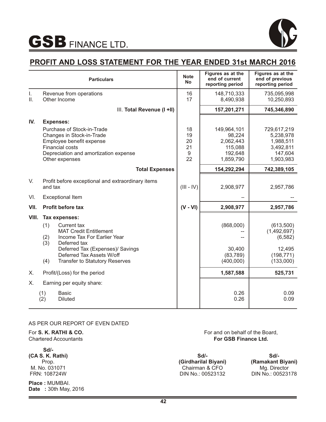

## **PROFIT AND LOSS STATEMENT FOR THE YEAR ENDED 31st MARCH 2016**

|           | <b>Particulars</b>                                                                                                                                                       | <b>Note</b><br><b>No</b>        | Figures as at the<br>end of current<br>reporting period               | Figures as at the<br>end of previous<br>reporting period                   |
|-----------|--------------------------------------------------------------------------------------------------------------------------------------------------------------------------|---------------------------------|-----------------------------------------------------------------------|----------------------------------------------------------------------------|
| I.<br>II. | Revenue from operations<br>Other Income                                                                                                                                  | 16<br>17                        | 148,710,333<br>8,490,938                                              | 735,095,998<br>10,250,893                                                  |
|           | III. Total Revenue (I +II)                                                                                                                                               |                                 | 157,201,271                                                           | 745,346,890                                                                |
| IV.       | <b>Expenses:</b>                                                                                                                                                         |                                 |                                                                       |                                                                            |
|           | Purchase of Stock-in-Trade<br>Changes in Stock-in-Trade<br>Employee benefit expense<br><b>Financial costs</b><br>Depreciation and amortization expense<br>Other expenses | 18<br>19<br>20<br>21<br>9<br>22 | 149,964,101<br>98,224<br>2,062,443<br>115,088<br>192,648<br>1,859,790 | 729,617,219<br>5,238,978<br>1,988,511<br>3,492,811<br>147,604<br>1,903,983 |
|           | <b>Total Expenses</b>                                                                                                                                                    |                                 | 154,292,294                                                           | 742,389,105                                                                |
| V.        | Profit before exceptional and extraordinary items<br>and tax                                                                                                             | $(III - IV)$                    | 2,908,977                                                             | 2,957,786                                                                  |
| VI.       | <b>Exceptional Item</b>                                                                                                                                                  |                                 |                                                                       |                                                                            |
| VII.      | <b>Profit before tax</b>                                                                                                                                                 | $(V - VI)$                      | 2,908,977                                                             | 2,957,786                                                                  |
| VIII.     | Tax expenses:                                                                                                                                                            |                                 |                                                                       |                                                                            |
|           | (1)<br>Current tax<br><b>MAT Credit Entitlement</b><br>Income Tax For Earlier Year<br>(2)<br>(3)<br>Deferred tax                                                         |                                 | (868,000)                                                             | (613,500)<br>(1,492,697)<br>(6, 582)                                       |
|           | Deferred Tax (Expenses)/ Savings<br>Deferred Tax Assets W/off<br>(4)<br><b>Transfer to Statutory Reserves</b>                                                            |                                 | 30,400<br>(83, 789)<br>(400,000)                                      | 12,495<br>(198, 771)<br>(133,000)                                          |
| Х.        | Profit/(Loss) for the period                                                                                                                                             |                                 | 1,587,588                                                             | 525,731                                                                    |
| Х.        | Earning per equity share:                                                                                                                                                |                                 |                                                                       |                                                                            |
|           | <b>Basic</b><br>(1)<br>(2)<br><b>Diluted</b>                                                                                                                             |                                 | 0.26<br>0.26                                                          | 0.09<br>0.09                                                               |

#### AS PER OUR REPORT OF EVEN DATED

#### For **S. K. RATHI & CO.** Chartered Accountants

**Sd/- (CA S. K. Rathi)** Prop. M. No. 031071 FRN: 108724W

**Place :** MUMBAI. **Date :** 30th May, 2016 For and on behalf of the Board, **For GSB Finance Ltd.** 

**Sd/- (Girdharilal Biyani)**  Chairman & CFO DIN No.: 00523132

**Sd/- (Ramakant Biyani)**  Mg. Director DIN No.: 00523178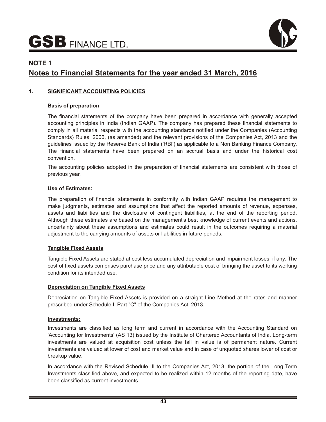

# **NOTE 1 Notes to Financial Statements for the year ended 31 March, 2016**

#### **1. SIGNIFICANT ACCOUNTING POLICIES**

#### **Basis of preparation**

The financial statements of the company have been prepared in accordance with generally accepted accounting principles in India (Indian GAAP). The company has prepared these financial statements to comply in all material respects with the accounting standards notified under the Companies (Accounting Standards) Rules, 2006, (as amended) and the relevant provisions of the Companies Act, 2013 and the guidelines issued by the Reserve Bank of India ('RBI') as applicable to a Non Banking Finance Company. The financial statements have been prepared on an accrual basis and under the historical cost convention.

The accounting policies adopted in the preparation of financial statements are consistent with those of previous year.

#### **Use of Estimates:**

The preparation of financial statements in conformity with Indian GAAP requires the management to make judgments, estimates and assumptions that affect the reported amounts of revenue, expenses, assets and liabilities and the disclosure of contingent liabilities, at the end of the reporting period. Although these estimates are based on the management's best knowledge of current events and actions, uncertainty about these assumptions and estimates could result in the outcomes requiring a material adjustment to the carrying amounts of assets or liabilities in future periods.

#### **Tangible Fixed Assets**

Tangible Fixed Assets are stated at cost less accumulated depreciation and impairment losses, if any. The cost of fixed assets comprises purchase price and any attributable cost of bringing the asset to its working condition for its intended use.

#### **Depreciation on Tangible Fixed Assets**

Depreciation on Tangible Fixed Assets is provided on a straight Line Method at the rates and manner prescribed under Schedule II Part "C" of the Companies Act, 2013.

#### **Investments:**

Investments are classified as long term and current in accordance with the Accounting Standard on 'Accounting for Investments' (AS 13) issued by the Institute of Chartered Accountants of India. Long-term investments are valued at acquisition cost unless the fall in value is of permanent nature. Current investments are valued at lower of cost and market value and in case of unquoted shares lower of cost or breakup value.

In accordance with the Revised Schedule III to the Companies Act, 2013, the portion of the Long Term Investments classified above, and expected to be realized within 12 months of the reporting date, have been classified as current investments.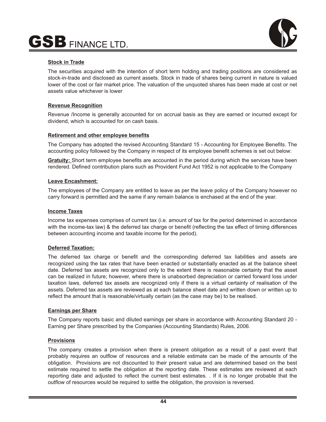

#### **Stock in Trade**

The securities acquired with the intention of short term holding and trading positions are considered as stock-in-trade and disclosed as current assets. Stock in trade of shares being current in nature is valued lower of the cost or fair market price. The valuation of the unquoted shares has been made at cost or net assets value whichever is lower

#### **Revenue Recognition**

Revenue /Income is generally accounted for on accrual basis as they are earned or incurred except for dividend, which is accounted for on cash basis.

#### **Retirement and other employee benefits**

The Company has adopted the revised Accounting Standard 15 - Accounting for Employee Benefits. The accounting policy followed by the Company in respect of its employee benefit schemes is set out below:

**Gratuity:** Short term employee benefits are accounted in the period during which the services have been rendered. Defined contribution plans such as Provident Fund Act 1952 is not applicable to the Company

#### **Leave Encashment:**

The employees of the Company are entitled to leave as per the leave policy of the Company however no carry forward is permitted and the same if any remain balance is enchased at the end of the year.

#### **Income Taxes**

Income tax expenses comprises of current tax (i.e. amount of tax for the period determined in accordance with the income-tax law) & the deferred tax charge or benefit (reflecting the tax effect of timing differences between accounting income and taxable income for the period).

#### **Deferred Taxation:**

The deferred tax charge or benefit and the corresponding deferred tax liabilities and assets are recognized using the tax rates that have been enacted or substantially enacted as at the balance sheet date. Deferred tax assets are recognized only to the extent there is reasonable certainty that the asset can be realized in future; however, where there is unabsorbed depreciation or carried forward loss under taxation laws, deferred tax assets are recognized only if there is a virtual certainty of realisation of the assets. Deferred tax assets are reviewed as at each balance sheet date and written down or written up to reflect the amount that is reasonable/virtually certain (as the case may be) to be realised.

#### **Earnings per Share**

The Company reports basic and diluted earnings per share in accordance with Accounting Standard 20 - Earning per Share prescribed by the Companies (Accounting Standards) Rules, 2006.

#### **Provisions**

The company creates a provision when there is present obligation as a result of a past event that probably requires an outflow of resources and a reliable estimate can be made of the amounts of the obligation. Provisions are not discounted to their present value and are determined based on the best estimate required to settle the obligation at the reporting date. These estimates are reviewed at each reporting date and adjusted to reflect the current best estimates. . If it is no longer probable that the outflow of resources would be required to settle the obligation, the provision is reversed.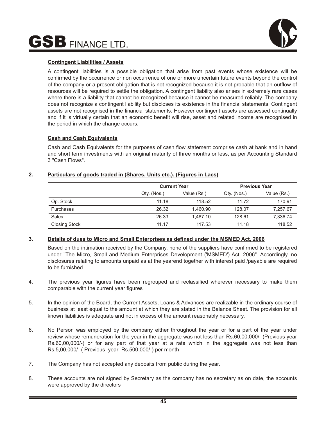# $\mathbf{GSB}$  finance ltd.



#### **Contingent Liabilities / Assets**

A contingent liabilities is a possible obligation that arise from past events whose existence will be confirmed by the occurrence or non occurrence of one or more uncertain future events beyond the control of the company or a present obligation that is not recognized because it is not probable that an outflow of resources will be required to settle the obligation. A contingent liability also arises in extremely rare cases where there is a liability that cannot be recognized because it cannot be measured reliably. The company does not recognize a contingent liability but discloses its existence in the financial statements. Contingent assets are not recognised in the financial statements. However contingent assets are assessed continually and if it is virtually certain that an economic benefit will rise, asset and related income are recognised in the period in which the change occurs.

#### **Cash and Cash Equivalents**

Cash and Cash Equivalents for the purposes of cash flow statement comprise cash at bank and in hand and short term investments with an original maturity of three months or less, as per Accounting Standard 3 "Cash Flows".

|                      | <b>Current Year</b>        |          | <b>Previous Year</b> |             |
|----------------------|----------------------------|----------|----------------------|-------------|
|                      | Value (Rs.)<br>Qty. (Nos.) |          | Qty. (Nos.)          | Value (Rs.) |
| Op. Stock            | 11.18                      | 118.52   | 11.72                | 170.91      |
| Purchases            | 26.32                      | 1.460.90 | 128.07               | 7,257.67    |
| Sales                | 26.33                      | 1,487.10 | 128.61               | 7,336.74    |
| <b>Closing Stock</b> | 11.17                      | 117.53   | 11.18                | 118.52      |

#### **2. Particulars of goods traded in (Shares, Units etc.). (Figures in Lacs)**

#### **3. Details of dues to Micro and Small Enterprises as defined under the MSMED Act, 2006**

Based on the intimation received by the Company, none of the suppliers have confirmed to be registered under "The Micro, Small and Medium Enterprises Development ('MSMED') Act, 2006". Accordingly, no disclosures relating to amounts unpaid as at the yearend together with interest paid /payable are required to be furnished.

- 4. The previous year figures have been regrouped and reclassified wherever necessary to make them comparable with the current year figures
- 5. In the opinion of the Board, the Current Assets, Loans & Advances are realizable in the ordinary course of business at least equal to the amount at which they are stated in the Balance Sheet. The provision for all known liabilities is adequate and not in excess of the amount reasonably necessary.
- 6. No Person was employed by the company either throughout the year or for a part of the year under review whose remuneration for the year in the aggregate was not less than Rs.60,00,000/- (Previous year Rs.60,00,000/-) or for any part of that year at a rate which in the aggregate was not less than Rs.5,00,000/- ( Previous year Rs.500,000/-) per month
- 7. The Company has not accepted any deposits from public during the year.
- 8. These accounts are not signed by Secretary as the company has no secretary as on date, the accounts were approved by the directors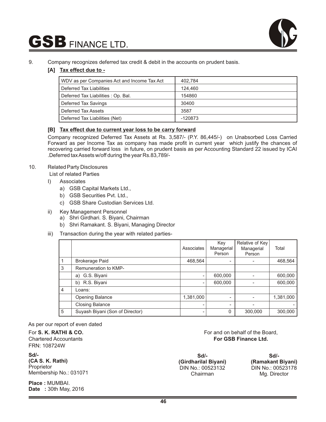

#### 9. Company recognizes deferred tax credit & debit in the accounts on prudent basis.

#### **[A] Tax effect due to -**

| WDV as per Companies Act and Income Tax Act | 402.784 |
|---------------------------------------------|---------|
| Deferred Tax Liabilities                    | 124.460 |
| Deferred Tax Liabilities: Op. Bal.          | 154860  |
| Deferred Tax Savings                        | 30400   |
| Deferred Tax Assets                         | 3587    |
| Deferred Tax Liabilities (Net)              | -120873 |

#### **[B] Tax effect due to current year loss to be carry forward**

Company recognized Deferred Tax Assets at Rs. 3,587/- (P.Y. 86,445/-) on Unabsorbed Loss Carried Forward as per Income Tax as company has made profit in current year which justify the chances of recovering carried forward loss in future, on prudent basis as per Accounting Standard 22 issued by ICAI .Deferred tax Assets w/off during the year Rs.83,789/-

#### 10. Related Party Disclosures

- List of related Parties
- I) Associates
	- a) GSB Capital Markets Ltd.,
	- b) GSB Securities Pvt. Ltd.,
	- c) GSB Share Custodian Services Ltd.
- ii) Key Management Personnel
	- a) Shri Girdhari. S. Biyani, Chairman
	- b) Shri Ramakant. S. Biyani, Managing Director
- iii) Transaction during the year with related parties-

|   |                                 | Associates | Key<br>Managerial<br>Person | Relative of Key<br>Managerial<br>Person | Total     |
|---|---------------------------------|------------|-----------------------------|-----------------------------------------|-----------|
|   | <b>Brokerage Paid</b>           | 468,564    |                             |                                         | 468,564   |
| 3 | Remuneration to KMP-            |            |                             |                                         |           |
|   | G.S. Biyani<br>a)               |            | 600,000                     |                                         | 600,000   |
|   | R.S. Biyani<br>b)               |            | 600,000                     |                                         | 600,000   |
| 4 | Loans:                          |            |                             |                                         |           |
|   | <b>Opening Balance</b>          | 1,381,000  | ۰                           |                                         | 1,381,000 |
|   | <b>Closing Balance</b>          |            |                             |                                         |           |
| 5 | Suyash Biyani (Son of Director) |            | 0                           | 300,000                                 | 300,000   |

As per our report of even dated

For **S. K. RATHI & CO.** Chartered Accountants FRN: 108724W

**Sd/- (CA S. K. Rathi)** Proprietor Membership No.: 031071

**Place :** MUMBAI. **Date :** 30th May, 2016 For and on behalf of the Board, **For GSB Finance Ltd.** 

**Sd/- (Girdharilal Biyani)**  DIN No.: 00523132 Chairman

**Sd/- (Ramakant Biyani)**  DIN No.: 00523178 Mg. Director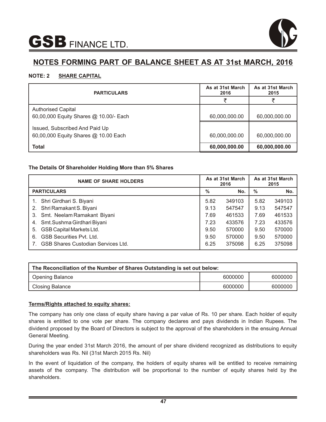

#### **NOTE: 2 SHARE CAPITAL**

| <b>PARTICULARS</b>                     | As at 31st March<br>2016 | As at 31st March<br>2015 |  |
|----------------------------------------|--------------------------|--------------------------|--|
|                                        |                          |                          |  |
| <b>Authorised Capital</b>              |                          |                          |  |
| 60,00,000 Equity Shares @ 10.00/- Each | 60,000,000.00            | 60,000,000.00            |  |
| Issued, Subscribed And Paid Up         |                          |                          |  |
| 60,00,000 Equity Shares @ 10.00 Each   | 60,000,000.00            | 60,000,000.00            |  |
| <b>Total</b>                           | 60,000,000.00            | 60,000,000.00            |  |

#### **The Details Of Shareholder Holding More than 5% Shares**

| <b>NAME OF SHARE HOLDERS</b>          |      | As at 31st March<br>2016 |               | As at 31st March<br>2015 |
|---------------------------------------|------|--------------------------|---------------|--------------------------|
| <b>PARTICULARS</b>                    | %    | No.                      | $\frac{0}{2}$ | No.                      |
| 1. Shri Girdhari S. Biyani            | 5.82 | 349103                   | 5.82          | 349103                   |
| 2. Shri Ramakant S. Biyani            | 9.13 | 547547                   | 9.13          | 547547                   |
| 3. Smt. Neelam Ramakant Biyani        | 7.69 | 461533                   | 7.69          | 461533                   |
| 4. Smt.Sushma Girdhari Biyani         | 7.23 | 433576                   | 7.23          | 433576                   |
| GSB Capital Markets Ltd.<br>5.        | 9.50 | 570000                   | 9.50          | 570000                   |
| <b>GSB Securities Pvt. Ltd.</b><br>6  | 9.50 | 570000                   | 9.50          | 570000                   |
| 7. GSB Shares Custodian Services Ltd. | 6.25 | 375098                   | 6.25          | 375098                   |

| The Reconciliation of the Number of Shares Outstanding is set out below: |  |  |  |  |
|--------------------------------------------------------------------------|--|--|--|--|
| 6000000<br>6000000<br><b>Opening Balance</b>                             |  |  |  |  |
| 6000000<br>6000000<br>Closing Balance                                    |  |  |  |  |

#### **Terms/Rights attached to equity shares:**

The company has only one class of equity share having a par value of Rs. 10 per share. Each holder of equity shares is entitled to one vote per share. The company declares and pays dividends in Indian Rupees. The dividend proposed by the Board of Directors is subject to the approval of the shareholders in the ensuing Annual General Meeting.

During the year ended 31st March 2016, the amount of per share dividend recognized as distributions to equity shareholders was Rs. Nil (31st March 2015 Rs. Nil)

In the event of liquidation of the company, the holders of equity shares will be entitled to receive remaining assets of the company. The distribution will be proportional to the number of equity shares held by the shareholders.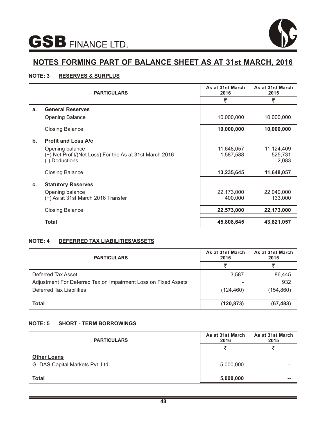



#### **NOTE: 3 RESERVES & SURPLUS**

|               | <b>PARTICULARS</b>                                                                           | As at 31st March<br>2016 | As at 31st March<br>2015       |
|---------------|----------------------------------------------------------------------------------------------|--------------------------|--------------------------------|
|               |                                                                                              | ₹                        | ₹                              |
| a.            | <b>General Reserves</b>                                                                      |                          |                                |
|               | <b>Opening Balance</b>                                                                       | 10,000,000               | 10,000,000                     |
|               | <b>Closing Balance</b>                                                                       | 10,000,000               | 10,000,000                     |
| $\mathbf b$ . | <b>Profit and Loss A/c</b>                                                                   |                          |                                |
|               | Opening balance<br>(+) Net Profit/(Net Loss) For the As at 31st March 2016<br>(-) Deductions | 11,648,057<br>1,587,588  | 11,124,409<br>525,731<br>2,083 |
|               | <b>Closing Balance</b>                                                                       | 13,235,645               | 11,648,057                     |
| c.            | <b>Statutory Reserves</b>                                                                    |                          |                                |
|               | Opening balance<br>(+) As at 31st March 2016 Transfer                                        | 22,173,000<br>400,000    | 22,040,000<br>133,000          |
|               | <b>Closing Balance</b>                                                                       | 22,573,000               | 22,173,000                     |
|               | <b>Total</b>                                                                                 | 45,808,645               | 43,821,057                     |

#### **NOTE: 4 DEFERRED TAX LIABILITIES/ASSETS**

| <b>PARTICULARS</b>                                             | As at 31st March<br>2016 | As at 31st March<br>2015 |
|----------------------------------------------------------------|--------------------------|--------------------------|
|                                                                |                          |                          |
| Deferred Tax Asset                                             | 3,587                    | 86,445                   |
| Adjustment For Deferred Tax on Impairment Loss on Fixed Assets |                          | 932                      |
| Deferred Tax Liabilities                                       | (124, 460)               | (154, 860)               |
|                                                                |                          |                          |
| <b>Total</b>                                                   | (120, 873)               | (67, 483)                |

#### **NOTE: 5 SHORT - TERM BORROWINGS**

| <b>PARTICULARS</b>                                     | As at 31st March<br>2016 | As at 31st March<br>2015 |  |
|--------------------------------------------------------|--------------------------|--------------------------|--|
|                                                        |                          |                          |  |
| <b>Other Loans</b><br>G. DAS Capital Markets Pvt. Ltd. | 5,000,000                | --                       |  |
| <b>Total</b>                                           | 5,000,000                | --                       |  |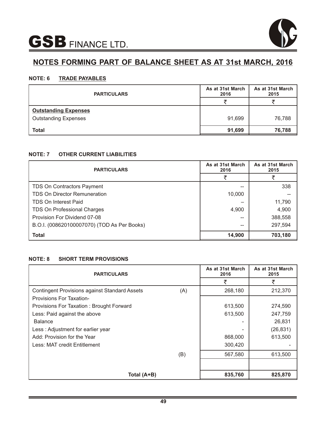

#### **NOTE: 6 TRADE PAYABLES**

| <b>PARTICULARS</b>          | As at 31st March<br>2016 | As at 31st March<br>2015 |  |
|-----------------------------|--------------------------|--------------------------|--|
|                             |                          |                          |  |
| <b>Outstanding Expenses</b> |                          |                          |  |
| <b>Outstanding Expenses</b> | 91,699                   | 76,788                   |  |
| <b>Total</b>                | 91,699                   | 76,788                   |  |

#### **NOTE: 7 OTHER CURRENT LIABILITIES**

| <b>PARTICULARS</b>                          | As at 31st March<br>2016 | As at 31st March<br>2015 |
|---------------------------------------------|--------------------------|--------------------------|
|                                             |                          |                          |
| <b>TDS On Contractors Payment</b>           | --                       | 338                      |
| <b>TDS On Director Remuneration</b>         | 10,000                   |                          |
| <b>TDS On Interest Paid</b>                 |                          | 11,790                   |
| <b>TDS On Professional Charges</b>          | 4,900                    | 4,900                    |
| Provision For Dividend 07-08                | --                       | 388,558                  |
| B.O.I. (008620100007070) (TOD As Per Books) | --                       | 297,594                  |
| <b>Total</b>                                | 14,900                   | 703,180                  |

#### **NOTE: 8 SHORT TERM PROVISIONS**

| <b>PARTICULARS</b>                                   |     | As at 31st March<br>2016 | As at 31st March<br>2015 |
|------------------------------------------------------|-----|--------------------------|--------------------------|
|                                                      |     | ₹                        | チ                        |
| <b>Contingent Provisions against Standard Assets</b> | (A) | 268,180                  | 212,370                  |
| Provisions For Taxation-                             |     |                          |                          |
| Provisions For Taxation: Brought Forward             |     | 613,500                  | 274,590                  |
| Less: Paid against the above                         |     | 613,500                  | 247,759                  |
| <b>Balance</b>                                       |     |                          | 26,831                   |
| Less: Adjustment for earlier year                    |     |                          | (26, 831)                |
| Add: Provision for the Year                          |     | 868,000                  | 613,500                  |
| Less: MAT credit Entitlement                         |     | 300,420                  |                          |
|                                                      | (B) | 567,580                  | 613,500                  |
|                                                      |     |                          |                          |
| Total (A+B)                                          |     | 835,760                  | 825,870                  |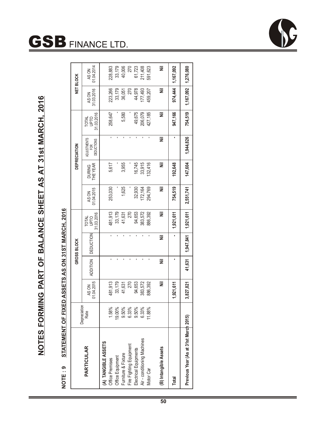# STATEMENT OF FIXED ASSETS AS ON 31ST MARCH, 2016 **NOTE : 9 STATEMENT OF FIXED ASSETS AS ON 31ST MARCH, 2016** NOTE: 9

**GSB** FINANCE LTD.

|                                       |                      |                     |                 | GROSS BLOCK      |                            |                     |                           | DEPRECIATION                            |                                    |                     | NET BLOCK           |
|---------------------------------------|----------------------|---------------------|-----------------|------------------|----------------------------|---------------------|---------------------------|-----------------------------------------|------------------------------------|---------------------|---------------------|
| PARTICULAR                            | Depreciation<br>Rate | 01.04.2015<br>AS ON | <b>ADDITION</b> | <b>DEDUCTION</b> | 31.03.2016<br><b>NATOL</b> | 01.04.2015<br>AS ON | THE YEAR<br><b>DURING</b> | <b>ADJUSTMENTS</b><br>DEDUCTIONS<br>FOR | 31.03.2016<br><b>OLdN</b><br>TOTAL | 31.03.2016<br>AS ON | 01.04.2014<br>AS ON |
| A) TANGIBLE ASSETS                    |                      |                     |                 |                  |                            |                     |                           |                                         |                                    |                     |                     |
| Office Premises                       | 1.58%                | 481,913             | ı               |                  | 481,913                    | 253,030             | 5,617                     |                                         | 258,647                            | 223,266             | 228,883             |
| Office Equipment                      | 19.00%               | 33,179              | ı               |                  | 33,179                     |                     |                           |                                         |                                    | 33,179              | 33,179              |
| Furniture & Fixture                   | 9.50%                | 41,631              | ı               |                  | 41,631                     | 1,625               | 3,955                     |                                         | 5,580                              | 36,051              | 40,006              |
| Fire Fighting Equipment               | $6.33\%$             | 270                 |                 |                  | 270                        |                     |                           |                                         |                                    | 270                 | 270                 |
| Electrical Equipments                 | $9.50\%$             | 94,653              | ı               |                  | 94,653                     | 32,930              | 16,745                    |                                         | 49,675                             | 44,978              | 61,723              |
| Air - conditioning Machines           | $6.33\%$             | 383,572             | ı               |                  | 383,572                    | 172,164             | 33,915                    |                                         | 206,079                            | 177,493             | 211,408             |
| Motor Car                             | 1.88%                | 886,392             | ı               |                  | 386,392                    | 294,769             | 132,416                   |                                         | 427,185                            | 459,207             | 591,623             |
| (B) Intangible Assets                 |                      | Ë                   | Ē               | Ë                | 乭                          | Ë                   | Ë                         | Ë                                       | Ë                                  | Ξ                   | 乭                   |
| Total                                 |                      | 1,921,611           |                 |                  | 1,921,611                  | 754,519             | 192,648                   |                                         | 947,166                            | 974,444             | 1,167,092           |
| Previous Year (As at 31st March 2015) |                      | 3,827,821           | 41,631          | 1,947,841        | 1,921,611                  | 2,551,741           | 147,604                   | 1,944,826                               | 754,519                            | 1,167,092           | 1,276,080           |

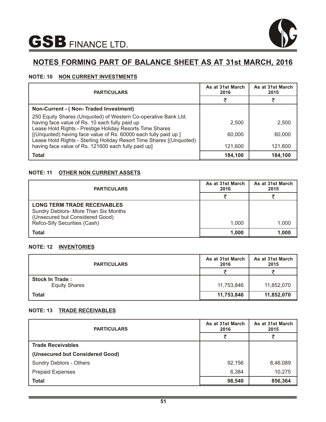

#### **NOTE: 10 NON CURRENT INVESTMENTS**

| <b>PARTICULARS</b>                                                                                                                                                                                                                                                                                                     | As at 31st March<br>2016 | As at 31st March<br>2015 |
|------------------------------------------------------------------------------------------------------------------------------------------------------------------------------------------------------------------------------------------------------------------------------------------------------------------------|--------------------------|--------------------------|
|                                                                                                                                                                                                                                                                                                                        |                          |                          |
| Non-Current - (Non-Traded Investment)                                                                                                                                                                                                                                                                                  |                          |                          |
| 250 Equity Shares (Unquoted) of Western Co-operative Bank Ltd.<br>having face value of Rs. 10 each fully paid up<br>Lease Hold Rights - Prestige Holiday Resorts Time Shares<br>[(Unquoted) having face value of Rs. 60000 each fully paid up ]<br>Lease Hold Rights - Sterling Holiday Resort Time Shares [(Unquoted) | 2,500<br>60,000          | 2,500<br>60,000          |
| having face value of Rs. 121600 each fully paid up]                                                                                                                                                                                                                                                                    | 121,600                  | 121,600                  |
| <b>Total</b>                                                                                                                                                                                                                                                                                                           | 184,100                  | 184,100                  |

#### **NOTE: 11 OTHER NON CURRENT ASSETS**

| <b>PARTICULARS</b>                                                                                            | As at 31st March<br>2016 | As at 31st March<br>2015 |
|---------------------------------------------------------------------------------------------------------------|--------------------------|--------------------------|
|                                                                                                               |                          |                          |
| <b>LONG TERM TRADE RECEIVABLES</b><br>Sundry Debtors- More Than Six Months<br>(Unsecured but Considered Good) |                          |                          |
| Refco-Sify Securities (Cash)                                                                                  | 1.000                    | 1.000                    |
| Total                                                                                                         | 1.000                    | 1,000                    |

#### **NOTE: 12 INVENTORIES**

| <b>PARTICULARS</b>     | As at 31st March<br>2016 | As at 31st March<br>2015 |
|------------------------|--------------------------|--------------------------|
|                        |                          |                          |
| <b>Stock In Trade:</b> |                          |                          |
| <b>Equity Shares</b>   | 11,753,846               | 11,852,070               |
| <b>Total</b>           | 11,753,846               | 11,852,070               |

#### **NOTE: 13 TRADE RECEIVABLES**

| <b>PARTICULARS</b>              | As at 31st March<br>2016 | As at 31st March<br>2015 |
|---------------------------------|--------------------------|--------------------------|
|                                 |                          |                          |
| <b>Trade Receivables</b>        |                          |                          |
| (Unsecured but Considered Good) |                          |                          |
| Sundry Debtors - Others         | 92,156                   | 8,46,089                 |
| <b>Prepaid Expenses</b>         | 6,384                    | 10,275                   |
| <b>Total</b>                    | 98,540                   | 856,364                  |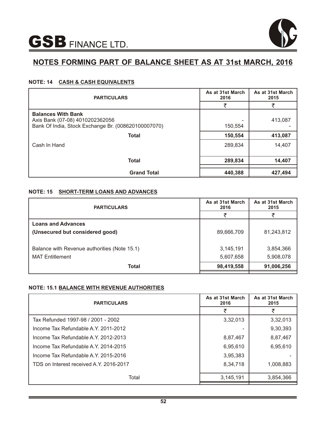

#### **NOTE: 14 CASH & CASH EQUIVALENTS**

| <b>PARTICULARS</b>                                                                                                  | As at 31st March<br>2016 | As at 31st March<br>2015 |
|---------------------------------------------------------------------------------------------------------------------|--------------------------|--------------------------|
|                                                                                                                     |                          |                          |
| <b>Balances With Bank</b><br>Axis Bank (07-08) 4010202362056<br>Bank Of India, Stock Exchange Br. (008620100007070) | 150,554                  | 413,087                  |
| <b>Total</b>                                                                                                        | 150,554                  | 413,087                  |
| Cash In Hand                                                                                                        | 289,834                  | 14,407                   |
| <b>Total</b>                                                                                                        | 289,834                  | 14,407                   |
| <b>Grand Total</b>                                                                                                  | 440,388                  | 427,494                  |

#### **NOTE: 15 SHORT-TERM LOANS AND ADVANCES**

| <b>PARTICULARS</b>                           | As at 31st March<br>2016 | As at 31st March<br>2015 |
|----------------------------------------------|--------------------------|--------------------------|
|                                              | ₹                        | ₹                        |
| <b>Loans and Advances</b>                    |                          |                          |
| (Unsecured but considered good)              | 89,666,709               | 81,243,812               |
|                                              |                          |                          |
| Balance with Revenue authorities (Note 15.1) | 3,145,191                | 3,854,366                |
| <b>MAT Entitlement</b>                       | 5,607,658                | 5,908,078                |
| Total                                        | 98,419,558               | 91,006,256               |
|                                              |                          |                          |

#### **NOTE: 15.1 BALANCE WITH REVENUE AUTHORITIES**

| <b>PARTICULARS</b>                      | As at 31st March<br>2016 | As at 31st March<br>2015 |
|-----------------------------------------|--------------------------|--------------------------|
|                                         |                          |                          |
| Tax Refunded 1997-98 / 2001 - 2002      | 3,32,013                 | 3,32,013                 |
| Income Tax Refundable A.Y. 2011-2012    |                          | 9,30,393                 |
| Income Tax Refundable A.Y. 2012-2013    | 8,87,467                 | 8,87,467                 |
| Income Tax Refundable A.Y. 2014-2015    | 6,95,610                 | 6,95,610                 |
| Income Tax Refundable A.Y. 2015-2016    | 3,95,383                 |                          |
| TDS on Interest received A.Y. 2016-2017 | 8,34,718                 | 1,008,883                |
| Total                                   | 3,145,191                | 3,854,366                |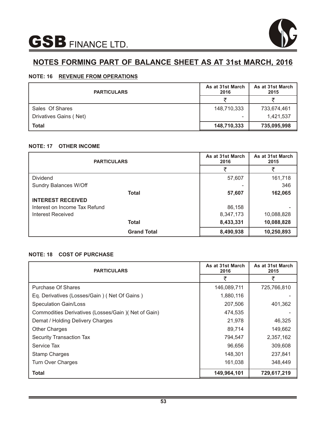



#### **NOTE: 16 REVENUE FROM OPERATIONS**

| <b>PARTICULARS</b>     | As at 31st March<br>2016 | As at 31st March<br>2015 |
|------------------------|--------------------------|--------------------------|
|                        |                          |                          |
| Sales Of Shares        | 148,710,333              | 733,674,461              |
| Drivatives Gains (Net) |                          | 1,421,537                |
| <b>Total</b>           | 148,710,333              | 735,095,998              |

#### **NOTE: 17 OTHER INCOME**

| <b>PARTICULARS</b>            | As at 31st March<br>2016 | As at 31st March<br>2015 |
|-------------------------------|--------------------------|--------------------------|
|                               | ₹                        | ₹                        |
| Dividend                      | 57,607                   | 161,718                  |
| Sundry Balances W/Off         |                          | 346                      |
| <b>Total</b>                  | 57,607                   | 162,065                  |
| <b>INTEREST RECEIVED</b>      |                          |                          |
| Interest on Income Tax Refund | 86,158                   |                          |
| Interest Received             | 8,347,173                | 10,088,828               |
| <b>Total</b>                  | 8,433,331                | 10,088,828               |
| <b>Grand Total</b>            | 8,490,938                | 10,250,893               |

#### **NOTE: 18 COST OF PURCHASE**

| <b>PARTICULARS</b>                                  | As at 31st March<br>2016 | As at 31st March<br>2015 |
|-----------------------------------------------------|--------------------------|--------------------------|
|                                                     | ₹                        |                          |
| <b>Purchase Of Shares</b>                           | 146,089,711              | 725,766,810              |
| Eq. Derivatives (Losses/Gain) (Net Of Gains)        | 1,880,116                |                          |
| <b>Speculation Gain/Loss</b>                        | 207,506                  | 401,362                  |
| Commodities Derivatives (Losses/Gain) (Net of Gain) | 474,535                  |                          |
| Demat / Holding Delivery Charges                    | 21,978                   | 46,325                   |
| <b>Other Charges</b>                                | 89,714                   | 149,662                  |
| <b>Security Transaction Tax</b>                     | 794,547                  | 2,357,162                |
| Service Tax                                         | 96,656                   | 309,608                  |
| <b>Stamp Charges</b>                                | 148,301                  | 237,841                  |
| <b>Turn Over Charges</b>                            | 161,038                  | 348,449                  |
| Total                                               | 149,964,101              | 729,617,219              |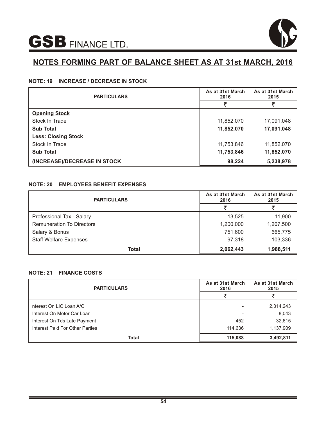

#### **NOTE: 19 INCREASE / DECREASE IN STOCK**

| <b>PARTICULARS</b>           | As at 31st March<br>2016 | As at 31st March<br>2015 |
|------------------------------|--------------------------|--------------------------|
|                              | ₹                        | ₹                        |
| <b>Opening Stock</b>         |                          |                          |
| Stock In Trade               | 11,852,070               | 17,091,048               |
| <b>Sub Total</b>             | 11,852,070               | 17,091,048               |
| <b>Less: Closing Stock</b>   |                          |                          |
| Stock In Trade               | 11,753,846               | 11,852,070               |
| <b>Sub Total</b>             | 11,753,846               | 11,852,070               |
| (INCREASE)/DECREASE IN STOCK | 98,224                   | 5,238,978                |

#### **NOTE: 20 EMPLOYEES BENEFIT EXPENSES**

| <b>PARTICULARS</b>               | As at 31st March<br>2016 | As at 31st March<br>2015 |
|----------------------------------|--------------------------|--------------------------|
|                                  |                          |                          |
| Professional Tax - Salary        | 13,525                   | 11,900                   |
| <b>Remuneration To Directors</b> | 1,200,000                | 1,207,500                |
| Salary & Bonus                   | 751,600                  | 665,775                  |
| <b>Staff Welfare Expenses</b>    | 97,318                   | 103,336                  |
| Total                            | 2,062,443                | 1,988,511                |

#### **NOTE: 21 FINANCE COSTS**

| <b>PARTICULARS</b>              | As at 31st March<br>2016 | As at 31st March<br>2015 |
|---------------------------------|--------------------------|--------------------------|
|                                 |                          |                          |
| nterest On LIC Loan A/C         |                          | 2,314,243                |
| Interest On Motor Car Loan      | $\overline{\phantom{0}}$ | 8,043                    |
| Interest On Tds Late Payment    | 452                      | 32,615                   |
| Interest Paid For Other Parties | 114,636                  | 1,137,909                |
| <b>Total</b>                    | 115,088                  | 3,492,811                |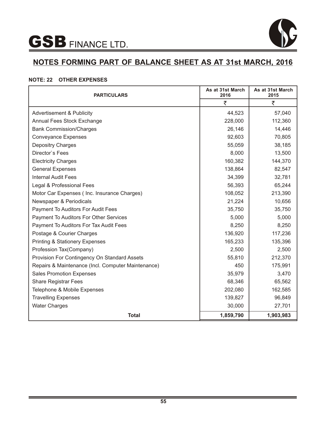

#### **NOTE: 22 OTHER EXPENSES**

| <b>PARTICULARS</b>                                 | As at 31st March<br>2016 | As at 31st March<br>2015 |
|----------------------------------------------------|--------------------------|--------------------------|
|                                                    | ₹                        | ₹                        |
| <b>Advertisement &amp; Publicity</b>               | 44,523                   | 57,040                   |
| Annual Fees Stock Exchange                         | 228,000                  | 112,360                  |
| <b>Bank Commission/Charges</b>                     | 26,146                   | 14,446                   |
| <b>Conveyance Expenses</b>                         | 92,603                   | 70,805                   |
| <b>Depositry Charges</b>                           | 55,059                   | 38,185                   |
| Director's Fees                                    | 8,000                    | 13,500                   |
| <b>Electricity Charges</b>                         | 160,382                  | 144,370                  |
| <b>General Expenses</b>                            | 138,864                  | 82,547                   |
| <b>Internal Audit Fees</b>                         | 34,399                   | 32,781                   |
| Legal & Professional Fees                          | 56,393                   | 65,244                   |
| Motor Car Expenses (Inc. Insurance Charges)        | 108,052                  | 213,390                  |
| Newspaper & Periodicals                            | 21,224                   | 10,656                   |
| Payment To Auditors For Audit Fees                 | 35,750                   | 35,750                   |
| Payment To Auditors For Other Services             | 5,000                    | 5,000                    |
| Payment To Auditors For Tax Audit Fees             | 8,250                    | 8,250                    |
| Postage & Courier Charges                          | 136,920                  | 117,236                  |
| <b>Printing &amp; Stationery Expenses</b>          | 165,233                  | 135,396                  |
| Profession Tax(Company)                            | 2,500                    | 2,500                    |
| Provision For Contingency On Standard Assets       | 55,810                   | 212,370                  |
| Repairs & Maintenance (Incl. Computer Maintenance) | 450                      | 175,991                  |
| <b>Sales Promotion Expenses</b>                    | 35,979                   | 3,470                    |
| <b>Share Registrar Fees</b>                        | 68,346                   | 65,562                   |
| Telephone & Mobile Expenses                        | 202,080                  | 162,585                  |
| <b>Travelling Expenses</b>                         | 139,827                  | 96,849                   |
| <b>Water Charges</b>                               | 30,000                   | 27,701                   |
| <b>Total</b>                                       | 1,859,790                | 1,903,983                |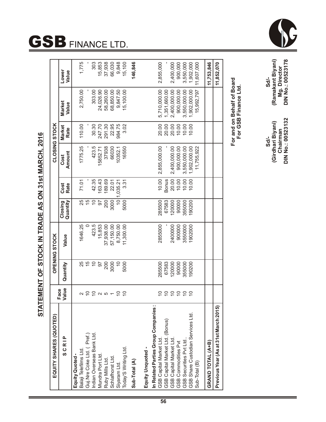| (                                                     |  |
|-------------------------------------------------------|--|
|                                                       |  |
| $\frac{1}{2}$                                         |  |
| <br> <br>                                             |  |
| l<br>֦֧֦֚֚֚֚֚֚֚֚֚֚֚֚֚֚֚֚֚֚֚֚֚֚֚֚֚֚֚֞֡֡֡֓֡֡֟֓֡֝֟֓֡֟֓֡֞ |  |
| $\frac{1}{2}$                                         |  |
| '<br> <br>(                                           |  |
| į<br>I                                                |  |
|                                                       |  |

| EQUITY SHARES (QUOTED)                                     |                   |                           | <b>OPENING STOCK</b> |                     |              | <b>CLOSING STOCK</b>       |                |                            |                         |
|------------------------------------------------------------|-------------------|---------------------------|----------------------|---------------------|--------------|----------------------------|----------------|----------------------------|-------------------------|
| SCRIP                                                      | Value<br>Face     | Quantity                  | Value                | Quantity<br>Closing | Rate<br>Cost | Amount<br>Cost             | Market<br>Rate | Market<br>Value            | Lower<br>Value          |
| Balaji Telefilms Ltd<br>Equity Quoted -                    | $\mathbf{\Omega}$ |                           | 1646.25              | 25                  | 71.01        | 1775.25                    | 110.00         | 2,750.00                   | 1,775                   |
| Guj Nre Coke Ltd. (Pref.)                                  |                   | 25<br>15                  |                      | $\frac{5}{3}$       |              |                            |                |                            |                         |
| Indian Overseas Bank Ltd.                                  |                   | $\widetilde{\phantom{a}}$ | 423.5                | $\overline{0}$      | 42.35        | 423.5                      | 30.30          | 303.00                     | 303                     |
| Mundra Port Ltd.                                           |                   | 50                        | 15,853               | 56                  | 163.43       | 15852.7                    | 247.70         | 24,026.90                  | 15,853                  |
| Ruby Mills Ltd.                                            |                   | 200                       | 37,938.00            | 200                 | 189.69       | 37938                      | 291.30         | 58,260.00                  | 37,938                  |
| Schlafhorst Ltd.                                           |                   | 3000                      | 57,150.00            | 3000                | 22.01        | 66030                      | 22.95          | 68,850.00                  | 66,030                  |
| Siyaram Ltd.                                               | $\tilde{c}$       |                           | 8,750.00             | $\frac{1}{2}$       | 1,035.21     | 10352.1                    | 984.75         | 9,847.50                   | 9,848                   |
| Today'S Writing Ltd.                                       | $\tilde{c}$       | 5000                      | 11,300.00            | 5000                | 3.31         | 16550                      | 3.02           | 15,100.00                  | 15,100                  |
| Sub-Total (A)                                              |                   |                           |                      |                     |              |                            |                |                            | 146,846                 |
| Equity Unquoted -                                          |                   |                           |                      |                     |              |                            |                |                            |                         |
| In Related Parties Group Companies:                        |                   |                           |                      |                     |              |                            |                |                            |                         |
| GSB Capital Market Ltd.                                    | $\approx$         | 285500                    | 2855000              | 285500              | 10.00        | 2,855,000.00               | 20.00          | 5,710,000.00               | 2,855,000               |
|                                                            | $\cong$           | 67583                     |                      | 67583               | Bonus        |                            | 20.00          | 1,351,660.00               |                         |
| GSB Capital Market Ltd. (Bonus)<br>GSB Capital Market Ltd. | $\approx$         | 120000                    | 2400000              | 120000              | 20.00        | 2,400,000.00               | 20.00          | 2,400,000.00               | 2,400,000               |
| GSB Commodities Pvt                                        | $\approx$         | 90000                     | 900000               | 90000               | 10.00        | 900,000.00                 | 10.00          | 900,000.00                 | 900,000                 |
| GSB Securities Pvt Ltd                                     | $\cong$           | 355000                    | 3550000              | 355000              | 10.00        | 3,550,000.00               | 10.00          | 3,550,000.00               | 3,550,000               |
| GSB Share Custodian Services Ltd.<br>Sub-Total (B)         | $\approx$         | 190200                    | 1902000              | 190200              | 10.00        | 1,902,000.00<br>11,755,922 | 10.00          | 15,992,797<br>1,902,000.00 | 1,902,000<br>11,607,000 |
|                                                            |                   |                           |                      |                     |              |                            |                |                            |                         |
| GRAND TOTAL (A+B)                                          |                   |                           |                      |                     |              |                            |                |                            | 11,753,846              |
| Previous Year (As at 31st March 2015)                      |                   |                           |                      |                     |              |                            |                |                            | 11,852,070              |



Sd/-<br>(Ramakant Biyani)<br>Mg. Director<br>DIN No.: 00523178 **(Ramakant Biyani) Mg. Director DIN No.: 00523178** 

 **For and on Behalf of Board For GSB Finance Ltd.** 

For and on Behalf of Board<br>For GSB Finance Ltd.

Sd/-<br>(Girdhari Biyani)<br>Chairman<br>DIN No.: 00523132 **(Girdhari Biyani) Chairman DIN No.: 00523132**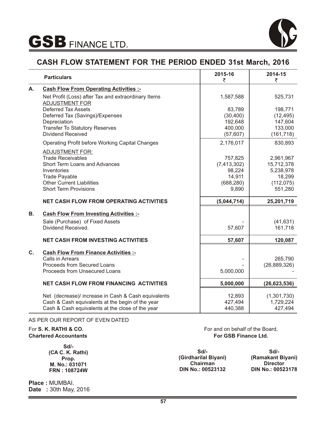



## **CASH FLOW STATEMENT FOR THE PERIOD ENDED 31st March, 2016**

|    | <b>Particulars</b>                                                           | 2015-16<br>₹            | 2014-15<br>₹            |
|----|------------------------------------------------------------------------------|-------------------------|-------------------------|
| Α. | <b>Cash Flow From Operating Activities :-</b>                                |                         |                         |
|    | Net Profit (Loss) after Tax and extraordinary Items<br><b>ADJUSTMENT FOR</b> | 1,587,588               | 525,731                 |
|    | <b>Deferred Tax Assets</b>                                                   | 83,789                  | 198,771                 |
|    | Deferred Tax (Savings)/Expenses                                              | (30, 400)               | (12, 495)               |
|    | Depreciation<br><b>Transfer To Statutory Reserves</b>                        | 192,648<br>400,000      | 147,604<br>133,000      |
|    | <b>Dividend Received</b>                                                     | (57, 607)               | (161, 718)              |
|    | <b>Operating Profit before Working Capital Changes</b>                       | 2,176,017               | 830,893                 |
|    | <b>ADJUSTMENT FOR:</b>                                                       |                         |                         |
|    | <b>Trade Receivables</b>                                                     | 757,825                 | 2,961,967               |
|    | Short Term Loans and Advances<br>Inventories                                 | (7, 413, 302)<br>98,224 | 15,712,378<br>5,238,978 |
|    | <b>Trade Payable</b>                                                         | 14,911                  | 18,299                  |
|    | <b>Other Current Liabilities</b>                                             | (688, 280)              | (112, 075)              |
|    | <b>Short Term Provisions</b>                                                 | 9,890                   | 551,280                 |
|    | <b>NET CASH FLOW FROM OPERATING ACTIVITIES</b>                               | (5,044,714)             | 25,201,719              |
| В. | <b>Cash Flow From Investing Activities :-</b>                                |                         |                         |
|    | Sale (Purchase) of Fixed Assets                                              |                         | (41, 631)               |
|    | Dividend Received.                                                           | 57,607                  | 161,718                 |
|    | <b>NET CASH FROM INVESTING ACTIVITIES</b>                                    | 57,607                  | 120,087                 |
| C. | <b>Cash Flow From Finance Activities :-</b>                                  |                         |                         |
|    | Calls in Arrears                                                             |                         | 265,790                 |
|    | Proceeds from Secured Loans                                                  |                         | (26, 889, 326)          |
|    | Proceeds from Unsecured Loans                                                | 5,000,000               |                         |
|    | <b>NET CASH FLOW FROM FINANCING ACTIVITIES</b>                               | 5,000,000               | (26, 623, 536)          |
|    | Net (decrease)/ increase in Cash & Cash equivalents                          | 12,893                  | (1,301,730)             |
|    | Cash & Cash equivalents at the begin of the year                             | 427,494                 | 1,729,224               |
|    | Cash & Cash equivalents at the close of the year                             | 440,388                 | 427,494                 |

#### AS PER OUR REPORT OF EVEN DATED

#### For **S. K. RATHI & CO. Chartered Accountants**

**Sd/- (CA C. K. Rathi) Prop. M. No.: 031071 FRN : 108724W**

**Place :** MUMBAI. **Date :** 30th May, 2016 For and on behalf of the Board, **For GSB Finance Ltd.** 

**Sd/- (Girdharilal Biyani) Chairman DIN No.: 00523132**

**Sd/- (Ramakant Biyani) Director DIN No.: 00523178**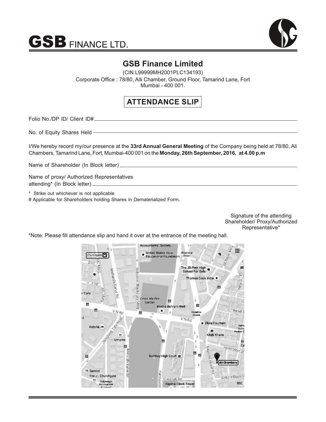



# **GSB Finance Limited**

(CIN L99999MH2001PLC134193) Corporate Office : 78/80, Alli Chamber, Ground Floor, Tamarind Lane, Fort Mumbai - 400 001.

# **ATTENDANCE SLIP**

Folio No./DP ID/ Client ID#

No. of Equity Shares Held

I/We hereby record my/our presence at the **33rd Annual General Meeting** of the Company being held at 78/80, Ali Chambers, Tamarind Lane, Fort, Mumbai-400 001 on the **Monday, 26th September, 2016, at 4.00 p.m**

Name of Shareholder (In Block letter)

Name of proxy/ Authorized Representatives attending\* (In Block letter)

\* Strike out whichever is not applicable

# Applicable for Shareholders holding Shares in Dematerialized Form.

Signature of the attending Shareholder/ Proxy/Authorized Representative\*

\*Note: Please fill attendance slip and hand it over at the entrance of the meeting hall.

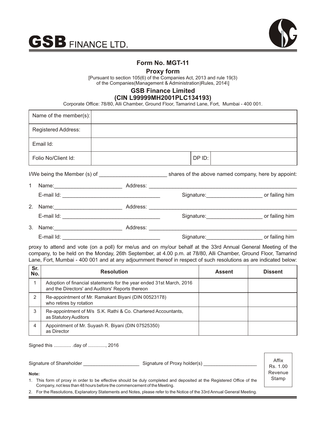



#### **Form No. MGT-11**

#### **Proxy form**

[Pursuant to section 105(6) of the Companies Act, 2013 and rule 19(3) of the Companies(Management & Administration)Rules, 2014\]

#### **GSB Finance Limited (CIN L99999MH2001PLC134193)**

Corporate Office: 78/80, Alli Chamber, Ground Floor, Tamarind Lane, Fort, Mumbai - 400 001.

|              | Name of the member(s):     |                |            |                           |
|--------------|----------------------------|----------------|------------|---------------------------|
|              | <b>Registered Address:</b> |                |            |                           |
|              | Email Id:                  |                |            |                           |
|              | Folio No/Client Id:        |                | DP ID:     |                           |
|              |                            |                |            |                           |
| $\mathbf{1}$ |                            | Name: Address: |            |                           |
|              |                            |                |            | Signature: or failing him |
|              |                            |                |            |                           |
|              |                            |                |            | Signature: or failing him |
|              |                            |                |            |                           |
|              | E-mail Id:                 |                | Signature: | or failing him            |

proxy to attend and vote (on a poll) for me/us and on my/our behalf at the 33rd Annual General Meeting of the company, to be held on the Monday, 26th September, at 4.00 p.m. at 78/80, Alli Chamber, Ground Floor, Tamarind Lane, Fort, Mumbai - 400 001 and at any adjournment thereof in respect of such resolutions as are indicated below:

| Sr.<br>No. | <b>Resolution</b>                                                                                                        | <b>Assent</b> | <b>Dissent</b> |
|------------|--------------------------------------------------------------------------------------------------------------------------|---------------|----------------|
|            | Adoption of financial statements for the year ended 31st March, 2016<br>and the Directors' and Auditors' Reports thereon |               |                |
| 2          | Re-appointment of Mr. Ramakant Biyani (DIN 00523178)<br>who retires by rotation                                          |               |                |
| 3          | Re-appointment of M/s S.K. Rathi & Co. Chartered Accountants,<br>as Statutory Auditors                                   |               |                |
| 4          | Appointment of Mr. Suyash R. Biyani (DIN 07525350)<br>as Director                                                        |               |                |

Signed this ............. .day of ............., 2016

Signature of Shareholder \_\_\_\_\_\_\_\_\_\_\_\_\_\_\_\_\_\_\_\_\_\_\_\_\_\_\_\_\_\_Signature of Proxy holder(s) \_

Affix Rs. 1.00 Revenue Stamp

#### **Note:**

1. This form of proxy in order to be effective should be duly completed and deposited at the Registered Office of the Company, not less than 48 hours before the commencement of the Meeting.

2. For the Resolutions, Explanatory Statements and Notes, please refer to the Notice of the 33rd Annual General Meeting.